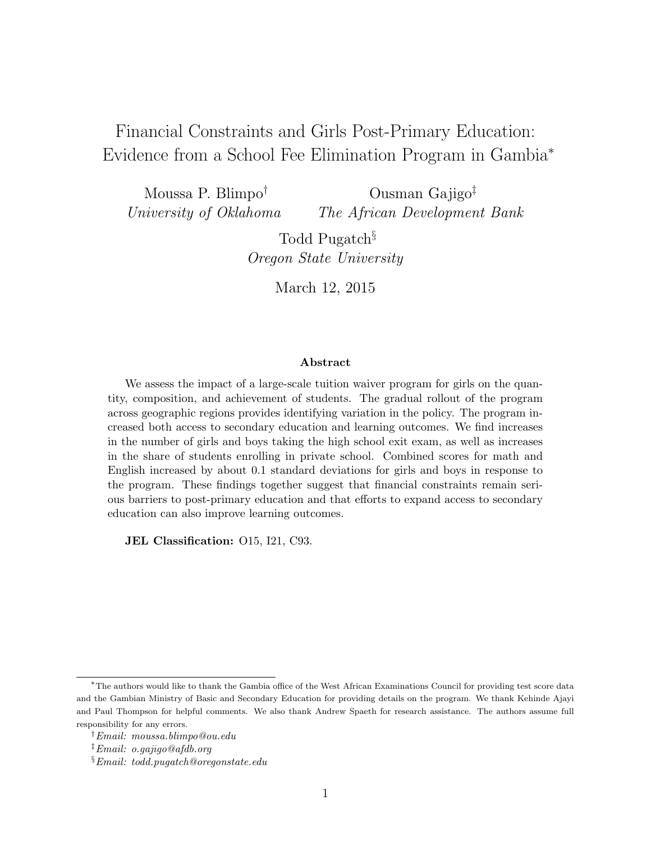Financial Constraints and Girls Post-Primary Education: Evidence from a School Fee Elimination Program in Gambia<sup>∗</sup>

Moussa P. Blimpo† University of Oklahoma Ousman Gajigo‡ The African Development Bank

> Todd Pugatch<sup>§</sup> Oregon State University

> > March 12, 2015

#### Abstract

We assess the impact of a large-scale tuition waiver program for girls on the quantity, composition, and achievement of students. The gradual rollout of the program across geographic regions provides identifying variation in the policy. The program increased both access to secondary education and learning outcomes. We find increases in the number of girls and boys taking the high school exit exam, as well as increases in the share of students enrolling in private school. Combined scores for math and English increased by about 0.1 standard deviations for girls and boys in response to the program. These findings together suggest that financial constraints remain serious barriers to post-primary education and that efforts to expand access to secondary education can also improve learning outcomes.

JEL Classification: O15, I21, C93.

<sup>∗</sup>The authors would like to thank the Gambia office of the West African Examinations Council for providing test score data and the Gambian Ministry of Basic and Secondary Education for providing details on the program. We thank Kehinde Ajayi and Paul Thompson for helpful comments. We also thank Andrew Spaeth for research assistance. The authors assume full responsibility for any errors.

<sup>†</sup>Email: moussa.blimpo@ou.edu

 $\ddagger$  Email: o.gajigo@afdb.org

 $\S Email:  $todd.$  pugatch@oregonstate.edu$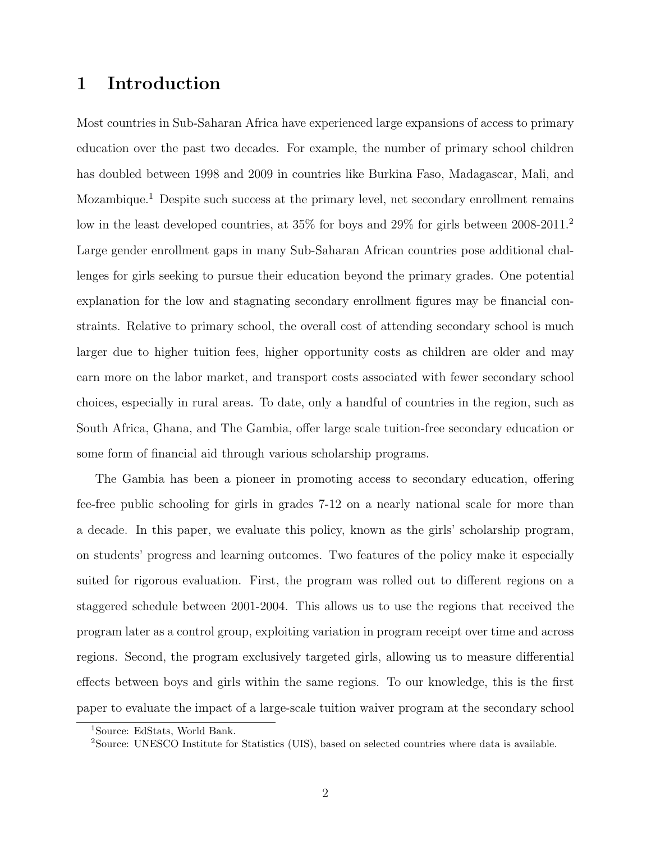## 1 Introduction

Most countries in Sub-Saharan Africa have experienced large expansions of access to primary education over the past two decades. For example, the number of primary school children has doubled between 1998 and 2009 in countries like Burkina Faso, Madagascar, Mali, and Mozambique.<sup>1</sup> Despite such success at the primary level, net secondary enrollment remains low in the least developed countries, at 35% for boys and 29% for girls between 2008-2011.<sup>2</sup> Large gender enrollment gaps in many Sub-Saharan African countries pose additional challenges for girls seeking to pursue their education beyond the primary grades. One potential explanation for the low and stagnating secondary enrollment figures may be financial constraints. Relative to primary school, the overall cost of attending secondary school is much larger due to higher tuition fees, higher opportunity costs as children are older and may earn more on the labor market, and transport costs associated with fewer secondary school choices, especially in rural areas. To date, only a handful of countries in the region, such as South Africa, Ghana, and The Gambia, offer large scale tuition-free secondary education or some form of financial aid through various scholarship programs.

The Gambia has been a pioneer in promoting access to secondary education, offering fee-free public schooling for girls in grades 7-12 on a nearly national scale for more than a decade. In this paper, we evaluate this policy, known as the girls' scholarship program, on students' progress and learning outcomes. Two features of the policy make it especially suited for rigorous evaluation. First, the program was rolled out to different regions on a staggered schedule between 2001-2004. This allows us to use the regions that received the program later as a control group, exploiting variation in program receipt over time and across regions. Second, the program exclusively targeted girls, allowing us to measure differential effects between boys and girls within the same regions. To our knowledge, this is the first paper to evaluate the impact of a large-scale tuition waiver program at the secondary school

<sup>1</sup>Source: EdStats, World Bank.

<sup>2</sup>Source: UNESCO Institute for Statistics (UIS), based on selected countries where data is available.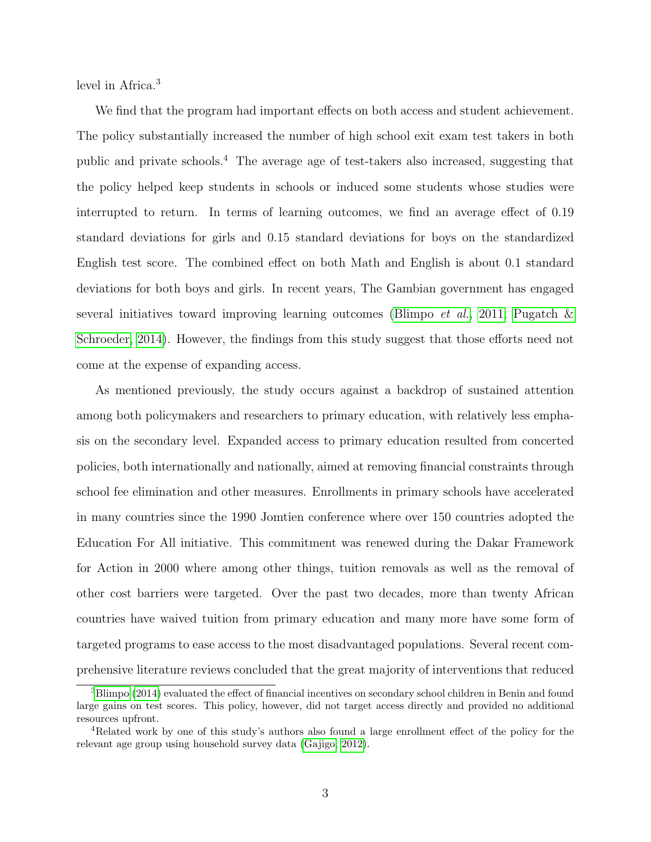level in Africa.<sup>3</sup>

We find that the program had important effects on both access and student achievement. The policy substantially increased the number of high school exit exam test takers in both public and private schools.<sup>4</sup> The average age of test-takers also increased, suggesting that the policy helped keep students in schools or induced some students whose studies were interrupted to return. In terms of learning outcomes, we find an average effect of 0.19 standard deviations for girls and 0.15 standard deviations for boys on the standardized English test score. The combined effect on both Math and English is about 0.1 standard deviations for both boys and girls. In recent years, The Gambian government has engaged several initiatives toward improving learning outcomes [\(Blimpo](#page-20-0) *et al.*, [2011;](#page-20-0) Pugatch  $\&$ [Schroeder, 2014\)](#page-22-0). However, the findings from this study suggest that those efforts need not come at the expense of expanding access.

As mentioned previously, the study occurs against a backdrop of sustained attention among both policymakers and researchers to primary education, with relatively less emphasis on the secondary level. Expanded access to primary education resulted from concerted policies, both internationally and nationally, aimed at removing financial constraints through school fee elimination and other measures. Enrollments in primary schools have accelerated in many countries since the 1990 Jomtien conference where over 150 countries adopted the Education For All initiative. This commitment was renewed during the Dakar Framework for Action in 2000 where among other things, tuition removals as well as the removal of other cost barriers were targeted. Over the past two decades, more than twenty African countries have waived tuition from primary education and many more have some form of targeted programs to ease access to the most disadvantaged populations. Several recent comprehensive literature reviews concluded that the great majority of interventions that reduced

<sup>3</sup>[Blimpo](#page-20-1) [\(2014\)](#page-20-1) evaluated the effect of financial incentives on secondary school children in Benin and found large gains on test scores. This policy, however, did not target access directly and provided no additional resources upfront.

<sup>4</sup>Related work by one of this study's authors also found a large enrollment effect of the policy for the relevant age group using household survey data [\(Gajigo, 2012\)](#page-20-2).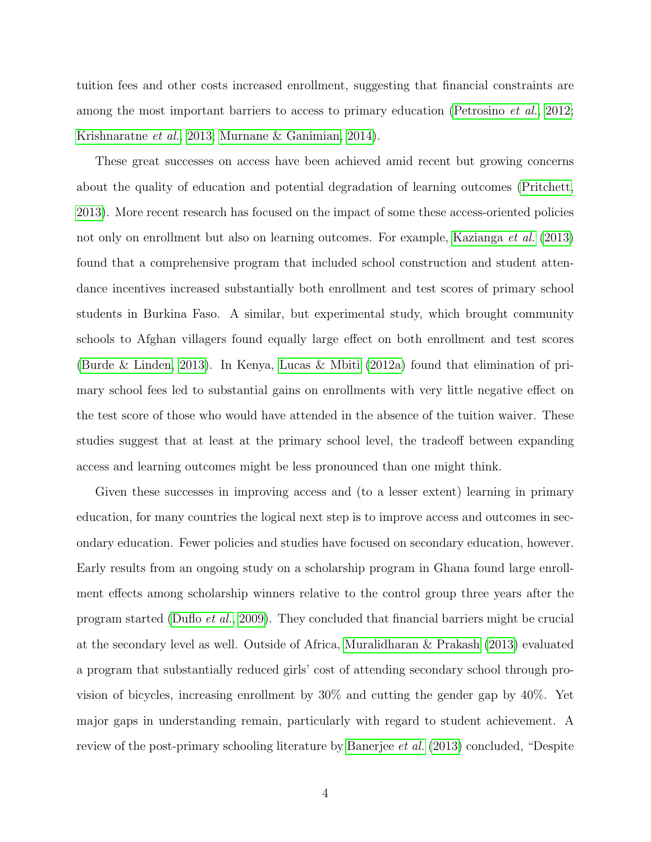tuition fees and other costs increased enrollment, suggesting that financial constraints are among the most important barriers to access to primary education [\(Petrosino](#page-21-0) et al., [2012;](#page-21-0) [Krishnaratne](#page-21-1) et al., [2013;](#page-21-1) [Murnane & Ganimian, 2014\)](#page-21-2).

These great successes on access have been achieved amid recent but growing concerns about the quality of education and potential degradation of learning outcomes [\(Pritchett,](#page-21-3) [2013\)](#page-21-3). More recent research has focused on the impact of some these access-oriented policies not only on enrollment but also on learning outcomes. For example, [Kazianga](#page-21-4) et al. [\(2013\)](#page-21-4) found that a comprehensive program that included school construction and student attendance incentives increased substantially both enrollment and test scores of primary school students in Burkina Faso. A similar, but experimental study, which brought community schools to Afghan villagers found equally large effect on both enrollment and test scores [\(Burde & Linden, 2013\)](#page-20-3). In Kenya, [Lucas & Mbiti](#page-21-5) [\(2012a\)](#page-21-5) found that elimination of primary school fees led to substantial gains on enrollments with very little negative effect on the test score of those who would have attended in the absence of the tuition waiver. These studies suggest that at least at the primary school level, the tradeoff between expanding access and learning outcomes might be less pronounced than one might think.

Given these successes in improving access and (to a lesser extent) learning in primary education, for many countries the logical next step is to improve access and outcomes in secondary education. Fewer policies and studies have focused on secondary education, however. Early results from an ongoing study on a scholarship program in Ghana found large enrollment effects among scholarship winners relative to the control group three years after the program started [\(Duflo](#page-20-4) et al., [2009\)](#page-20-4). They concluded that financial barriers might be crucial at the secondary level as well. Outside of Africa, [Muralidharan & Prakash](#page-21-6) [\(2013\)](#page-21-6) evaluated a program that substantially reduced girls' cost of attending secondary school through provision of bicycles, increasing enrollment by 30% and cutting the gender gap by 40%. Yet major gaps in understanding remain, particularly with regard to student achievement. A review of the post-primary schooling literature by [Banerjee](#page-20-5) *et al.* [\(2013\)](#page-20-5) concluded, "Despite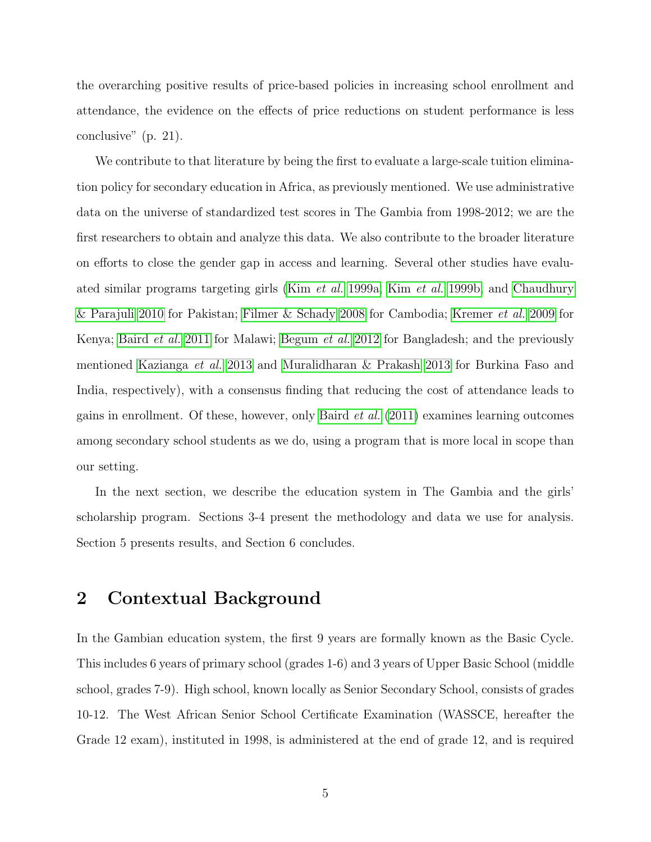the overarching positive results of price-based policies in increasing school enrollment and attendance, the evidence on the effects of price reductions on student performance is less conclusive" (p. 21).

We contribute to that literature by being the first to evaluate a large-scale tuition elimination policy for secondary education in Africa, as previously mentioned. We use administrative data on the universe of standardized test scores in The Gambia from 1998-2012; we are the first researchers to obtain and analyze this data. We also contribute to the broader literature on efforts to close the gender gap in access and learning. Several other studies have evaluated similar programs targeting girls (Kim [et al.](#page-21-7) [1999a,](#page-21-7) Kim [et al.](#page-21-8) [1999b,](#page-21-8) and [Chaudhury](#page-20-6) [& Parajuli 2010](#page-20-6) for Pakistan; [Filmer & Schady 2008](#page-20-7) for Cambodia; [Kremer](#page-21-9) et al. [2009](#page-21-9) for Kenya; [Baird](#page-20-8) et al. [2011](#page-20-8) for Malawi; [Begum](#page-20-9) et al. [2012](#page-20-9) for Bangladesh; and the previously mentioned [Kazianga](#page-21-4) et al. [2013](#page-21-4) and [Muralidharan & Prakash 2013](#page-21-6) for Burkina Faso and India, respectively), with a consensus finding that reducing the cost of attendance leads to gains in enrollment. Of these, however, only [Baird](#page-20-8) et al. [\(2011\)](#page-20-8) examines learning outcomes among secondary school students as we do, using a program that is more local in scope than our setting.

In the next section, we describe the education system in The Gambia and the girls' scholarship program. Sections 3-4 present the methodology and data we use for analysis. Section 5 presents results, and Section 6 concludes.

## 2 Contextual Background

In the Gambian education system, the first 9 years are formally known as the Basic Cycle. This includes 6 years of primary school (grades 1-6) and 3 years of Upper Basic School (middle school, grades 7-9). High school, known locally as Senior Secondary School, consists of grades 10-12. The West African Senior School Certificate Examination (WASSCE, hereafter the Grade 12 exam), instituted in 1998, is administered at the end of grade 12, and is required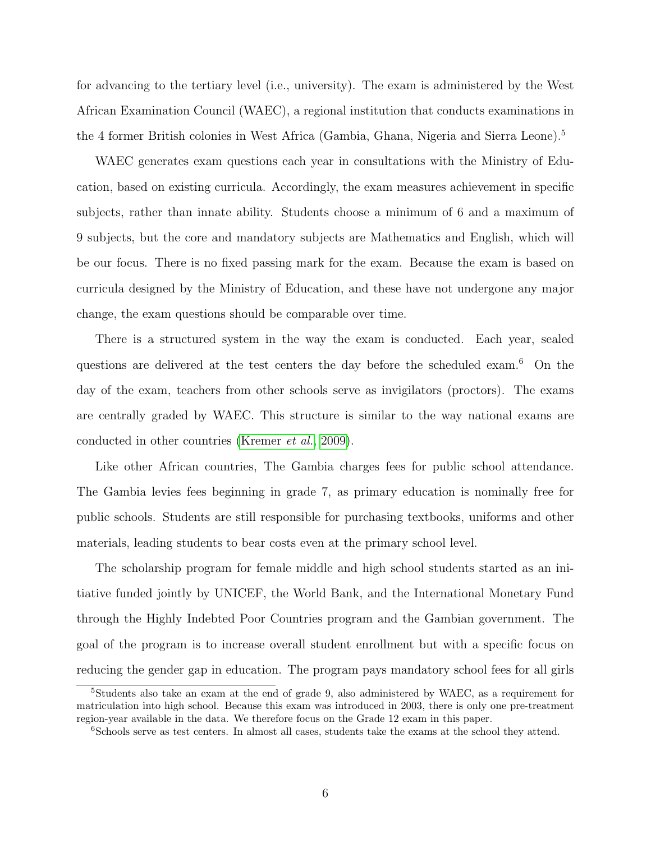for advancing to the tertiary level (i.e., university). The exam is administered by the West African Examination Council (WAEC), a regional institution that conducts examinations in the 4 former British colonies in West Africa (Gambia, Ghana, Nigeria and Sierra Leone).<sup>5</sup>

WAEC generates exam questions each year in consultations with the Ministry of Education, based on existing curricula. Accordingly, the exam measures achievement in specific subjects, rather than innate ability. Students choose a minimum of 6 and a maximum of 9 subjects, but the core and mandatory subjects are Mathematics and English, which will be our focus. There is no fixed passing mark for the exam. Because the exam is based on curricula designed by the Ministry of Education, and these have not undergone any major change, the exam questions should be comparable over time.

There is a structured system in the way the exam is conducted. Each year, sealed questions are delivered at the test centers the day before the scheduled exam.<sup>6</sup> On the day of the exam, teachers from other schools serve as invigilators (proctors). The exams are centrally graded by WAEC. This structure is similar to the way national exams are conducted in other countries [\(Kremer](#page-21-9) et al., [2009\)](#page-21-9).

Like other African countries, The Gambia charges fees for public school attendance. The Gambia levies fees beginning in grade 7, as primary education is nominally free for public schools. Students are still responsible for purchasing textbooks, uniforms and other materials, leading students to bear costs even at the primary school level.

The scholarship program for female middle and high school students started as an initiative funded jointly by UNICEF, the World Bank, and the International Monetary Fund through the Highly Indebted Poor Countries program and the Gambian government. The goal of the program is to increase overall student enrollment but with a specific focus on reducing the gender gap in education. The program pays mandatory school fees for all girls

<sup>5</sup>Students also take an exam at the end of grade 9, also administered by WAEC, as a requirement for matriculation into high school. Because this exam was introduced in 2003, there is only one pre-treatment region-year available in the data. We therefore focus on the Grade 12 exam in this paper.

<sup>&</sup>lt;sup>6</sup>Schools serve as test centers. In almost all cases, students take the exams at the school they attend.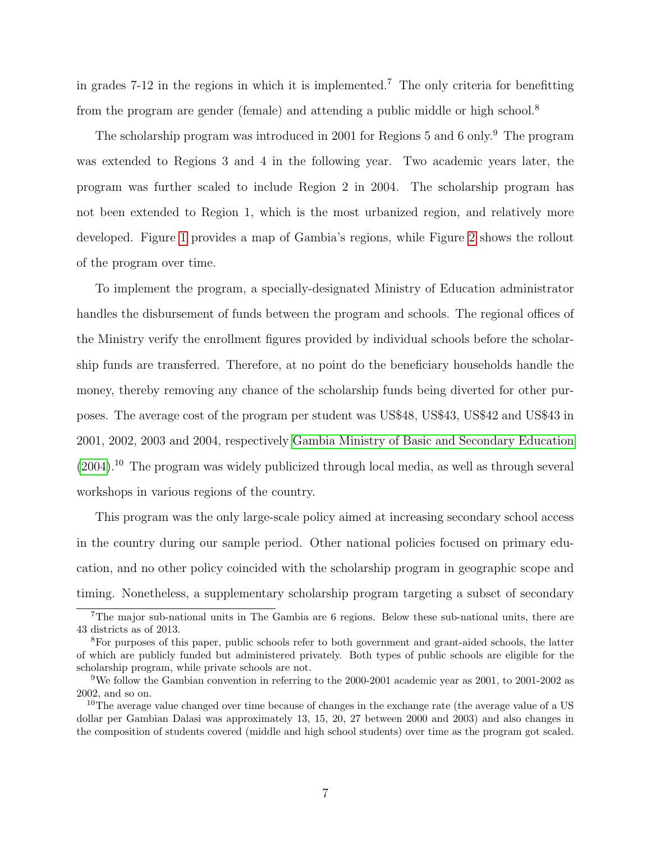in grades 7-12 in the regions in which it is implemented.<sup>7</sup> The only criteria for benefitting from the program are gender (female) and attending a public middle or high school.<sup>8</sup>

The scholarship program was introduced in 2001 for Regions 5 and 6 only.<sup>9</sup> The program was extended to Regions 3 and 4 in the following year. Two academic years later, the program was further scaled to include Region 2 in 2004. The scholarship program has not been extended to Region 1, which is the most urbanized region, and relatively more developed. Figure [1](#page-32-0) provides a map of Gambia's regions, while Figure [2](#page-32-1) shows the rollout of the program over time.

To implement the program, a specially-designated Ministry of Education administrator handles the disbursement of funds between the program and schools. The regional offices of the Ministry verify the enrollment figures provided by individual schools before the scholarship funds are transferred. Therefore, at no point do the beneficiary households handle the money, thereby removing any chance of the scholarship funds being diverted for other purposes. The average cost of the program per student was US\$48, US\$43, US\$42 and US\$43 in 2001, 2002, 2003 and 2004, respectively [Gambia Ministry of Basic and Secondary Education](#page-20-10)  $(2004).$  $(2004).$ <sup>10</sup> The program was widely publicized through local media, as well as through several workshops in various regions of the country.

This program was the only large-scale policy aimed at increasing secondary school access in the country during our sample period. Other national policies focused on primary education, and no other policy coincided with the scholarship program in geographic scope and timing. Nonetheless, a supplementary scholarship program targeting a subset of secondary

<sup>&</sup>lt;sup>7</sup>The major sub-national units in The Gambia are 6 regions. Below these sub-national units, there are 43 districts as of 2013.

<sup>8</sup>For purposes of this paper, public schools refer to both government and grant-aided schools, the latter of which are publicly funded but administered privately. Both types of public schools are eligible for the scholarship program, while private schools are not.

<sup>9</sup>We follow the Gambian convention in referring to the 2000-2001 academic year as 2001, to 2001-2002 as 2002, and so on.

<sup>&</sup>lt;sup>10</sup>The average value changed over time because of changes in the exchange rate (the average value of a US dollar per Gambian Dalasi was approximately 13, 15, 20, 27 between 2000 and 2003) and also changes in the composition of students covered (middle and high school students) over time as the program got scaled.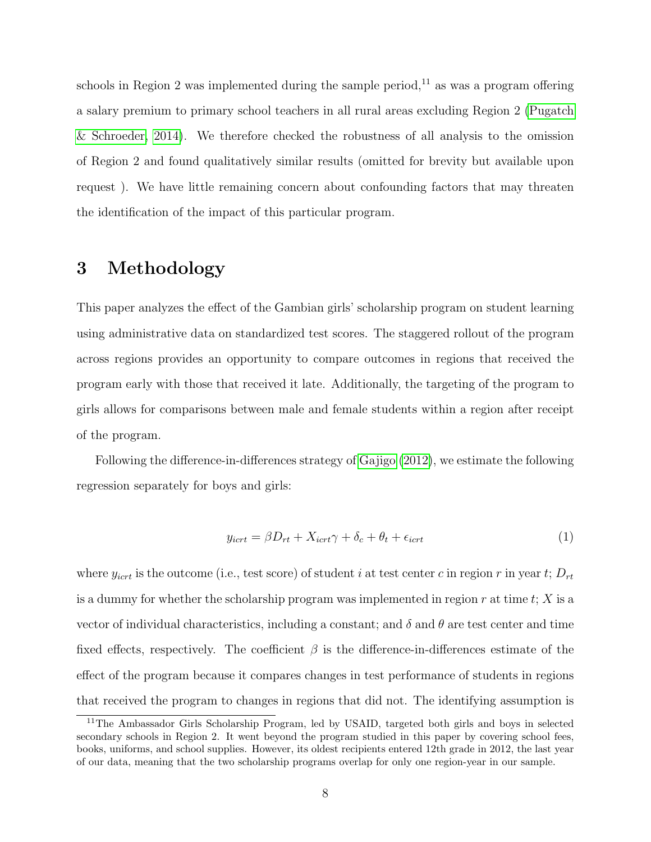schools in Region 2 was implemented during the sample period,<sup>11</sup> as was a program offering a salary premium to primary school teachers in all rural areas excluding Region 2 [\(Pugatch](#page-22-0) [& Schroeder, 2014\)](#page-22-0). We therefore checked the robustness of all analysis to the omission of Region 2 and found qualitatively similar results (omitted for brevity but available upon request ). We have little remaining concern about confounding factors that may threaten the identification of the impact of this particular program.

## 3 Methodology

This paper analyzes the effect of the Gambian girls' scholarship program on student learning using administrative data on standardized test scores. The staggered rollout of the program across regions provides an opportunity to compare outcomes in regions that received the program early with those that received it late. Additionally, the targeting of the program to girls allows for comparisons between male and female students within a region after receipt of the program.

Following the difference-in-differences strategy of [Gajigo](#page-20-2) [\(2012\)](#page-20-2), we estimate the following regression separately for boys and girls:

<span id="page-7-0"></span>
$$
y_{ict} = \beta D_{rt} + X_{ict}\gamma + \delta_c + \theta_t + \epsilon_{ict}
$$
\n<sup>(1)</sup>

where  $y_{ict}$  is the outcome (i.e., test score) of student i at test center c in region r in year t;  $D_{rt}$ is a dummy for whether the scholarship program was implemented in region  $r$  at time  $t$ ;  $X$  is a vector of individual characteristics, including a constant; and  $\delta$  and  $\theta$  are test center and time fixed effects, respectively. The coefficient  $\beta$  is the difference-in-differences estimate of the effect of the program because it compares changes in test performance of students in regions that received the program to changes in regions that did not. The identifying assumption is

<sup>&</sup>lt;sup>11</sup>The Ambassador Girls Scholarship Program, led by USAID, targeted both girls and boys in selected secondary schools in Region 2. It went beyond the program studied in this paper by covering school fees, books, uniforms, and school supplies. However, its oldest recipients entered 12th grade in 2012, the last year of our data, meaning that the two scholarship programs overlap for only one region-year in our sample.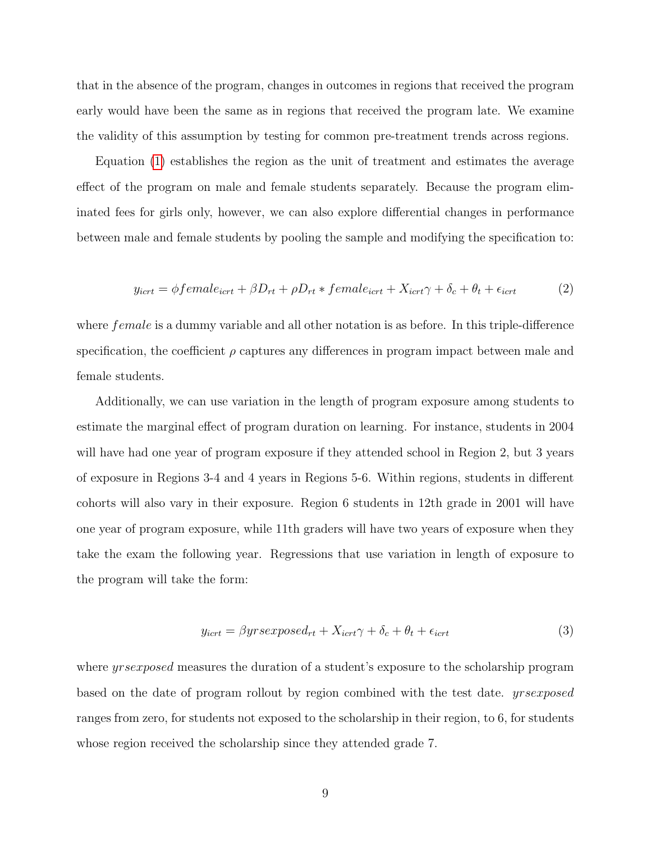that in the absence of the program, changes in outcomes in regions that received the program early would have been the same as in regions that received the program late. We examine the validity of this assumption by testing for common pre-treatment trends across regions.

Equation [\(1\)](#page-7-0) establishes the region as the unit of treatment and estimates the average effect of the program on male and female students separately. Because the program eliminated fees for girls only, however, we can also explore differential changes in performance between male and female students by pooling the sample and modifying the specification to:

<span id="page-8-0"></span>
$$
y_{ict} = \phi female_{ict} + \beta D_{rt} + \rho D_{rt} * female_{ict} + X_{ict}\gamma + \delta_c + \theta_t + \epsilon_{ict}
$$
 (2)

where *female* is a dummy variable and all other notation is as before. In this triple-difference specification, the coefficient  $\rho$  captures any differences in program impact between male and female students.

Additionally, we can use variation in the length of program exposure among students to estimate the marginal effect of program duration on learning. For instance, students in 2004 will have had one year of program exposure if they attended school in Region 2, but 3 years of exposure in Regions 3-4 and 4 years in Regions 5-6. Within regions, students in different cohorts will also vary in their exposure. Region 6 students in 12th grade in 2001 will have one year of program exposure, while 11th graders will have two years of exposure when they take the exam the following year. Regressions that use variation in length of exposure to the program will take the form:

<span id="page-8-1"></span>
$$
y_{ict} = \beta y r s exposed_{rt} + X_{ict} \gamma + \delta_c + \theta_t + \epsilon_{ict}
$$
\n(3)

where *yrsexposed* measures the duration of a student's exposure to the scholarship program based on the date of program rollout by region combined with the test date. *yrsexposed* ranges from zero, for students not exposed to the scholarship in their region, to 6, for students whose region received the scholarship since they attended grade 7.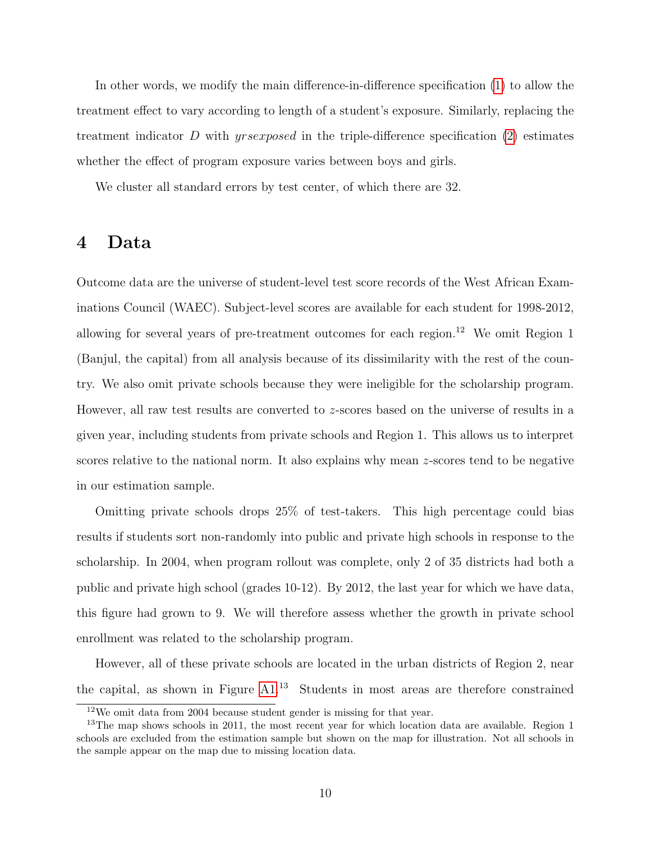In other words, we modify the main difference-in-difference specification [\(1\)](#page-7-0) to allow the treatment effect to vary according to length of a student's exposure. Similarly, replacing the treatment indicator D with *yrsexposed* in the triple-difference specification  $(2)$  estimates whether the effect of program exposure varies between boys and girls.

We cluster all standard errors by test center, of which there are 32.

## 4 Data

Outcome data are the universe of student-level test score records of the West African Examinations Council (WAEC). Subject-level scores are available for each student for 1998-2012, allowing for several years of pre-treatment outcomes for each region.<sup>12</sup> We omit Region 1 (Banjul, the capital) from all analysis because of its dissimilarity with the rest of the country. We also omit private schools because they were ineligible for the scholarship program. However, all raw test results are converted to z-scores based on the universe of results in a given year, including students from private schools and Region 1. This allows us to interpret scores relative to the national norm. It also explains why mean z-scores tend to be negative in our estimation sample.

Omitting private schools drops 25% of test-takers. This high percentage could bias results if students sort non-randomly into public and private high schools in response to the scholarship. In 2004, when program rollout was complete, only 2 of 35 districts had both a public and private high school (grades 10-12). By 2012, the last year for which we have data, this figure had grown to 9. We will therefore assess whether the growth in private school enrollment was related to the scholarship program.

However, all of these private schools are located in the urban districts of Region 2, near the capital, as shown in Figure [A1.](#page-34-0)<sup>13</sup> Students in most areas are therefore constrained

<sup>&</sup>lt;sup>12</sup>We omit data from 2004 because student gender is missing for that year.

<sup>&</sup>lt;sup>13</sup>The map shows schools in 2011, the most recent year for which location data are available. Region 1 schools are excluded from the estimation sample but shown on the map for illustration. Not all schools in the sample appear on the map due to missing location data.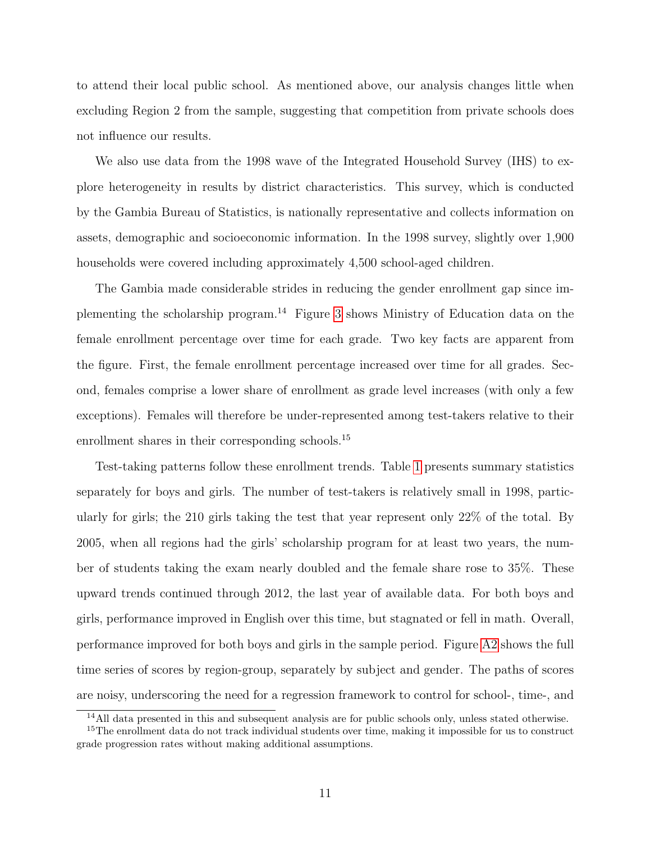to attend their local public school. As mentioned above, our analysis changes little when excluding Region 2 from the sample, suggesting that competition from private schools does not influence our results.

We also use data from the 1998 wave of the Integrated Household Survey (IHS) to explore heterogeneity in results by district characteristics. This survey, which is conducted by the Gambia Bureau of Statistics, is nationally representative and collects information on assets, demographic and socioeconomic information. In the 1998 survey, slightly over 1,900 households were covered including approximately 4,500 school-aged children.

The Gambia made considerable strides in reducing the gender enrollment gap since implementing the scholarship program.<sup>14</sup> Figure [3](#page-33-0) shows Ministry of Education data on the female enrollment percentage over time for each grade. Two key facts are apparent from the figure. First, the female enrollment percentage increased over time for all grades. Second, females comprise a lower share of enrollment as grade level increases (with only a few exceptions). Females will therefore be under-represented among test-takers relative to their enrollment shares in their corresponding schools.<sup>15</sup>

Test-taking patterns follow these enrollment trends. Table [1](#page-23-0) presents summary statistics separately for boys and girls. The number of test-takers is relatively small in 1998, particularly for girls; the 210 girls taking the test that year represent only 22% of the total. By 2005, when all regions had the girls' scholarship program for at least two years, the number of students taking the exam nearly doubled and the female share rose to 35%. These upward trends continued through 2012, the last year of available data. For both boys and girls, performance improved in English over this time, but stagnated or fell in math. Overall, performance improved for both boys and girls in the sample period. Figure [A2](#page-35-0) shows the full time series of scores by region-group, separately by subject and gender. The paths of scores are noisy, underscoring the need for a regression framework to control for school-, time-, and

<sup>14</sup>All data presented in this and subsequent analysis are for public schools only, unless stated otherwise.

<sup>&</sup>lt;sup>15</sup>The enrollment data do not track individual students over time, making it impossible for us to construct grade progression rates without making additional assumptions.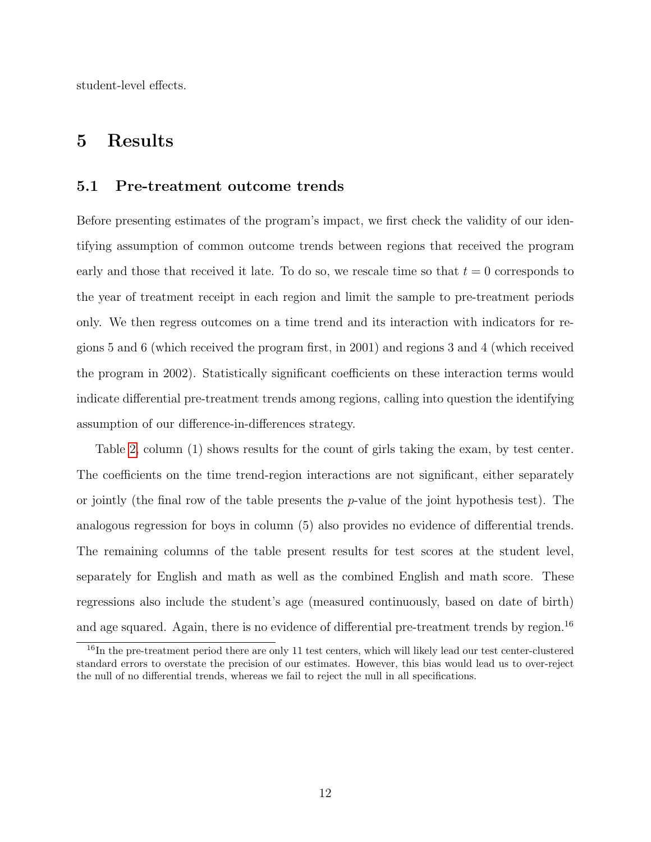student-level effects.

### 5 Results

#### 5.1 Pre-treatment outcome trends

Before presenting estimates of the program's impact, we first check the validity of our identifying assumption of common outcome trends between regions that received the program early and those that received it late. To do so, we rescale time so that  $t = 0$  corresponds to the year of treatment receipt in each region and limit the sample to pre-treatment periods only. We then regress outcomes on a time trend and its interaction with indicators for regions 5 and 6 (which received the program first, in 2001) and regions 3 and 4 (which received the program in 2002). Statistically significant coefficients on these interaction terms would indicate differential pre-treatment trends among regions, calling into question the identifying assumption of our difference-in-differences strategy.

Table [2,](#page-24-0) column (1) shows results for the count of girls taking the exam, by test center. The coefficients on the time trend-region interactions are not significant, either separately or jointly (the final row of the table presents the  $p$ -value of the joint hypothesis test). The analogous regression for boys in column (5) also provides no evidence of differential trends. The remaining columns of the table present results for test scores at the student level, separately for English and math as well as the combined English and math score. These regressions also include the student's age (measured continuously, based on date of birth) and age squared. Again, there is no evidence of differential pre-treatment trends by region.<sup>16</sup>

<sup>&</sup>lt;sup>16</sup>In the pre-treatment period there are only 11 test centers, which will likely lead our test center-clustered standard errors to overstate the precision of our estimates. However, this bias would lead us to over-reject the null of no differential trends, whereas we fail to reject the null in all specifications.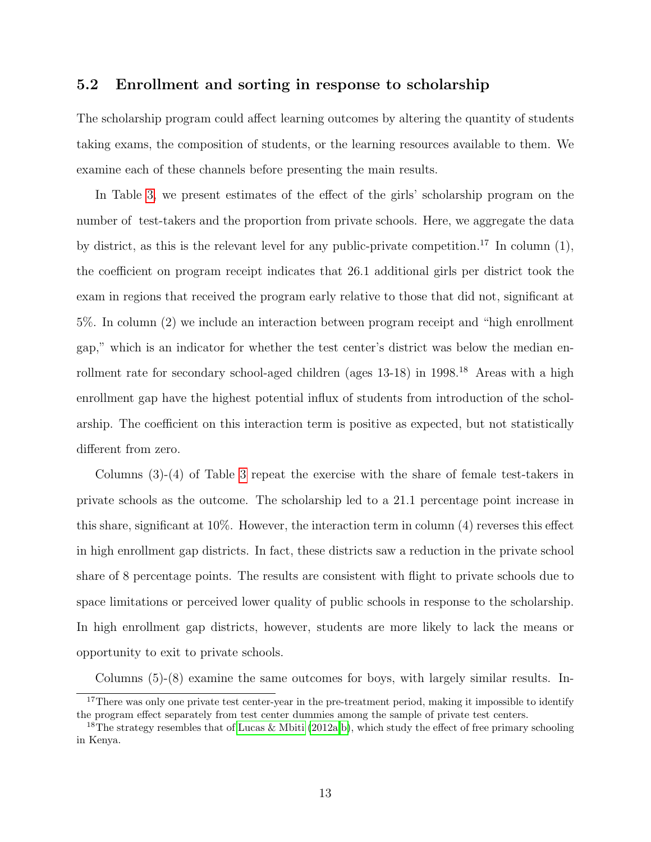### 5.2 Enrollment and sorting in response to scholarship

The scholarship program could affect learning outcomes by altering the quantity of students taking exams, the composition of students, or the learning resources available to them. We examine each of these channels before presenting the main results.

In Table [3,](#page-25-0) we present estimates of the effect of the girls' scholarship program on the number of test-takers and the proportion from private schools. Here, we aggregate the data by district, as this is the relevant level for any public-private competition.<sup>17</sup> In column  $(1)$ , the coefficient on program receipt indicates that 26.1 additional girls per district took the exam in regions that received the program early relative to those that did not, significant at 5%. In column (2) we include an interaction between program receipt and "high enrollment gap," which is an indicator for whether the test center's district was below the median enrollment rate for secondary school-aged children (ages  $13-18$ ) in  $1998<sup>18</sup>$  Areas with a high enrollment gap have the highest potential influx of students from introduction of the scholarship. The coefficient on this interaction term is positive as expected, but not statistically different from zero.

Columns (3)-(4) of Table [3](#page-25-0) repeat the exercise with the share of female test-takers in private schools as the outcome. The scholarship led to a 21.1 percentage point increase in this share, significant at 10%. However, the interaction term in column (4) reverses this effect in high enrollment gap districts. In fact, these districts saw a reduction in the private school share of 8 percentage points. The results are consistent with flight to private schools due to space limitations or perceived lower quality of public schools in response to the scholarship. In high enrollment gap districts, however, students are more likely to lack the means or opportunity to exit to private schools.

Columns (5)-(8) examine the same outcomes for boys, with largely similar results. In-

 $17$ There was only one private test center-year in the pre-treatment period, making it impossible to identify the program effect separately from test center dummies among the sample of private test centers.

<sup>&</sup>lt;sup>18</sup>The strategy resembles that of [Lucas & Mbiti](#page-21-5) [\(2012a,](#page-21-5)[b\)](#page-21-10), which study the effect of free primary schooling in Kenya.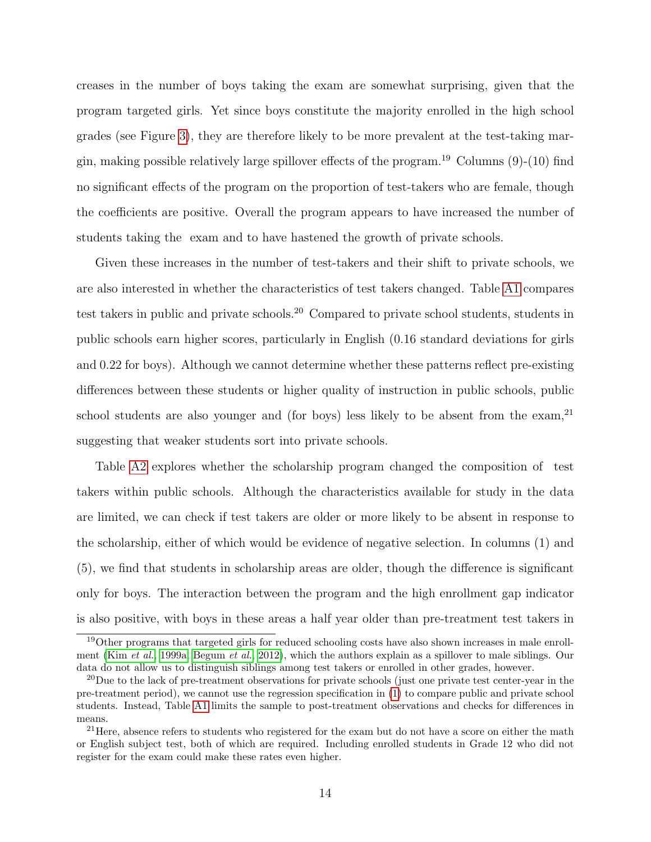creases in the number of boys taking the exam are somewhat surprising, given that the program targeted girls. Yet since boys constitute the majority enrolled in the high school grades (see Figure [3\)](#page-33-0), they are therefore likely to be more prevalent at the test-taking margin, making possible relatively large spillover effects of the program.<sup>19</sup> Columns  $(9)-(10)$  find no significant effects of the program on the proportion of test-takers who are female, though the coefficients are positive. Overall the program appears to have increased the number of students taking the exam and to have hastened the growth of private schools.

Given these increases in the number of test-takers and their shift to private schools, we are also interested in whether the characteristics of test takers changed. Table [A1](#page-29-0) compares test takers in public and private schools.<sup>20</sup> Compared to private school students, students in public schools earn higher scores, particularly in English (0.16 standard deviations for girls and 0.22 for boys). Although we cannot determine whether these patterns reflect pre-existing differences between these students or higher quality of instruction in public schools, public school students are also younger and (for boys) less likely to be absent from the exam,<sup>21</sup> suggesting that weaker students sort into private schools.

Table [A2](#page-30-0) explores whether the scholarship program changed the composition of test takers within public schools. Although the characteristics available for study in the data are limited, we can check if test takers are older or more likely to be absent in response to the scholarship, either of which would be evidence of negative selection. In columns (1) and (5), we find that students in scholarship areas are older, though the difference is significant only for boys. The interaction between the program and the high enrollment gap indicator is also positive, with boys in these areas a half year older than pre-treatment test takers in

<sup>19</sup>Other programs that targeted girls for reduced schooling costs have also shown increases in male enrollment (Kim [et al.](#page-21-7), [1999a;](#page-21-7) [Begum](#page-20-9) et al., [2012\)](#page-20-9), which the authors explain as a spillover to male siblings. Our data do not allow us to distinguish siblings among test takers or enrolled in other grades, however.

 $^{20}$ Due to the lack of pre-treatment observations for private schools (just one private test center-year in the pre-treatment period), we cannot use the regression specification in [\(1\)](#page-7-0) to compare public and private school students. Instead, Table [A1](#page-29-0) limits the sample to post-treatment observations and checks for differences in means.

 $21$ Here, absence refers to students who registered for the exam but do not have a score on either the math or English subject test, both of which are required. Including enrolled students in Grade 12 who did not register for the exam could make these rates even higher.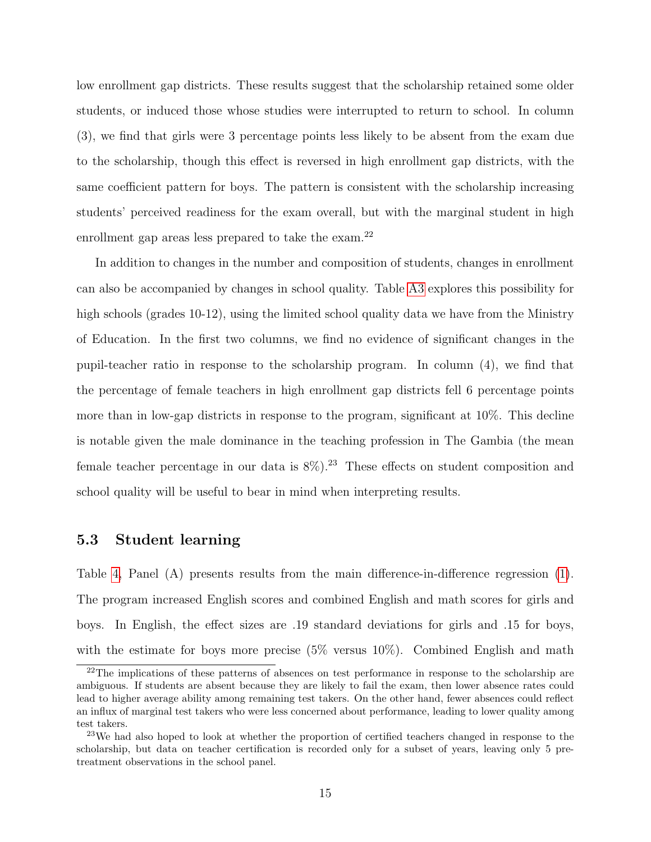low enrollment gap districts. These results suggest that the scholarship retained some older students, or induced those whose studies were interrupted to return to school. In column (3), we find that girls were 3 percentage points less likely to be absent from the exam due to the scholarship, though this effect is reversed in high enrollment gap districts, with the same coefficient pattern for boys. The pattern is consistent with the scholarship increasing students' perceived readiness for the exam overall, but with the marginal student in high enrollment gap areas less prepared to take the exam.<sup>22</sup>

In addition to changes in the number and composition of students, changes in enrollment can also be accompanied by changes in school quality. Table [A3](#page-31-0) explores this possibility for high schools (grades 10-12), using the limited school quality data we have from the Ministry of Education. In the first two columns, we find no evidence of significant changes in the pupil-teacher ratio in response to the scholarship program. In column (4), we find that the percentage of female teachers in high enrollment gap districts fell 6 percentage points more than in low-gap districts in response to the program, significant at 10%. This decline is notable given the male dominance in the teaching profession in The Gambia (the mean female teacher percentage in our data is  $8\%$ ).<sup>23</sup> These effects on student composition and school quality will be useful to bear in mind when interpreting results.

### 5.3 Student learning

Table [4,](#page-26-0) Panel (A) presents results from the main difference-in-difference regression [\(1\)](#page-7-0). The program increased English scores and combined English and math scores for girls and boys. In English, the effect sizes are .19 standard deviations for girls and .15 for boys, with the estimate for boys more precise (5% versus 10%). Combined English and math

 $22$ The implications of these patterns of absences on test performance in response to the scholarship are ambiguous. If students are absent because they are likely to fail the exam, then lower absence rates could lead to higher average ability among remaining test takers. On the other hand, fewer absences could reflect an influx of marginal test takers who were less concerned about performance, leading to lower quality among test takers.

<sup>23</sup>We had also hoped to look at whether the proportion of certified teachers changed in response to the scholarship, but data on teacher certification is recorded only for a subset of years, leaving only 5 pretreatment observations in the school panel.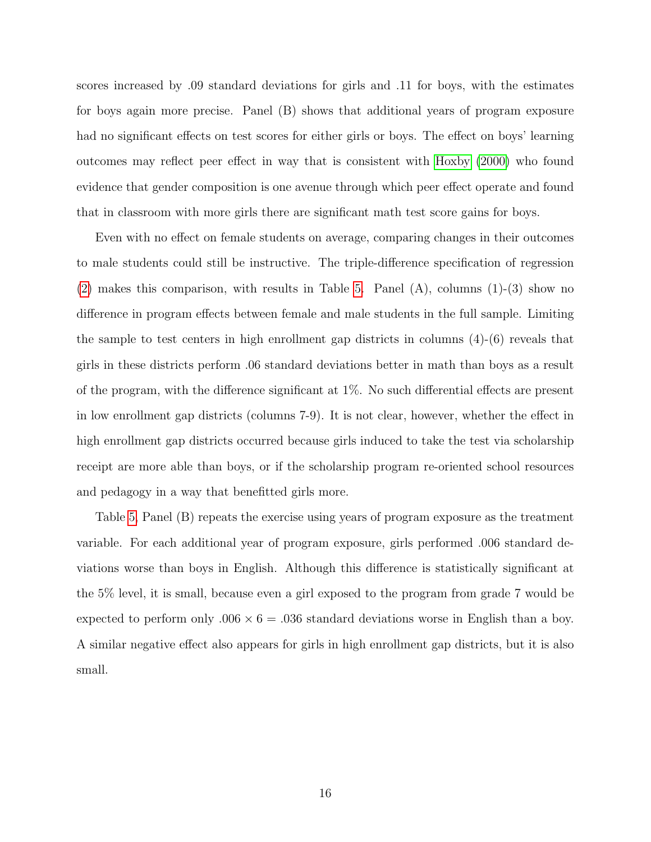scores increased by .09 standard deviations for girls and .11 for boys, with the estimates for boys again more precise. Panel (B) shows that additional years of program exposure had no significant effects on test scores for either girls or boys. The effect on boys' learning outcomes may reflect peer effect in way that is consistent with [Hoxby](#page-21-11) [\(2000\)](#page-21-11) who found evidence that gender composition is one avenue through which peer effect operate and found that in classroom with more girls there are significant math test score gains for boys.

Even with no effect on female students on average, comparing changes in their outcomes to male students could still be instructive. The triple-difference specification of regression [\(2\)](#page-8-0) makes this comparison, with results in Table [5.](#page-27-0) Panel (A), columns (1)-(3) show no difference in program effects between female and male students in the full sample. Limiting the sample to test centers in high enrollment gap districts in columns  $(4)-(6)$  reveals that girls in these districts perform .06 standard deviations better in math than boys as a result of the program, with the difference significant at 1%. No such differential effects are present in low enrollment gap districts (columns 7-9). It is not clear, however, whether the effect in high enrollment gap districts occurred because girls induced to take the test via scholarship receipt are more able than boys, or if the scholarship program re-oriented school resources and pedagogy in a way that benefitted girls more.

Table [5,](#page-27-0) Panel (B) repeats the exercise using years of program exposure as the treatment variable. For each additional year of program exposure, girls performed .006 standard deviations worse than boys in English. Although this difference is statistically significant at the 5% level, it is small, because even a girl exposed to the program from grade 7 would be expected to perform only  $.006 \times 6 = .036$  standard deviations worse in English than a boy. A similar negative effect also appears for girls in high enrollment gap districts, but it is also small.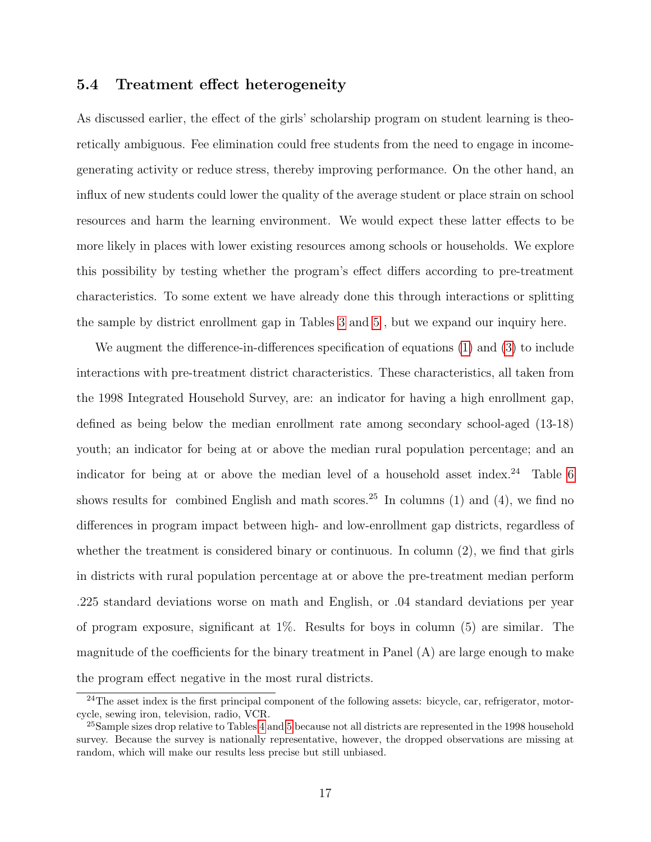#### 5.4 Treatment effect heterogeneity

As discussed earlier, the effect of the girls' scholarship program on student learning is theoretically ambiguous. Fee elimination could free students from the need to engage in incomegenerating activity or reduce stress, thereby improving performance. On the other hand, an influx of new students could lower the quality of the average student or place strain on school resources and harm the learning environment. We would expect these latter effects to be more likely in places with lower existing resources among schools or households. We explore this possibility by testing whether the program's effect differs according to pre-treatment characteristics. To some extent we have already done this through interactions or splitting the sample by district enrollment gap in Tables [3](#page-25-0) and [5](#page-27-0) , but we expand our inquiry here.

We augment the difference-in-differences specification of equations [\(1\)](#page-7-0) and [\(3\)](#page-8-1) to include interactions with pre-treatment district characteristics. These characteristics, all taken from the 1998 Integrated Household Survey, are: an indicator for having a high enrollment gap, defined as being below the median enrollment rate among secondary school-aged (13-18) youth; an indicator for being at or above the median rural population percentage; and an indicator for being at or above the median level of a household asset index.<sup>24</sup> Table [6](#page-28-0) shows results for combined English and math scores.<sup>25</sup> In columns (1) and (4), we find no differences in program impact between high- and low-enrollment gap districts, regardless of whether the treatment is considered binary or continuous. In column (2), we find that girls in districts with rural population percentage at or above the pre-treatment median perform .225 standard deviations worse on math and English, or .04 standard deviations per year of program exposure, significant at 1%. Results for boys in column (5) are similar. The magnitude of the coefficients for the binary treatment in Panel (A) are large enough to make the program effect negative in the most rural districts.

<sup>&</sup>lt;sup>24</sup>The asset index is the first principal component of the following assets: bicycle, car, refrigerator, motorcycle, sewing iron, television, radio, VCR.

<sup>&</sup>lt;sup>25</sup>Sample sizes drop relative to Tables [4](#page-26-0) and [5](#page-27-0) because not all districts are represented in the 1998 household survey. Because the survey is nationally representative, however, the dropped observations are missing at random, which will make our results less precise but still unbiased.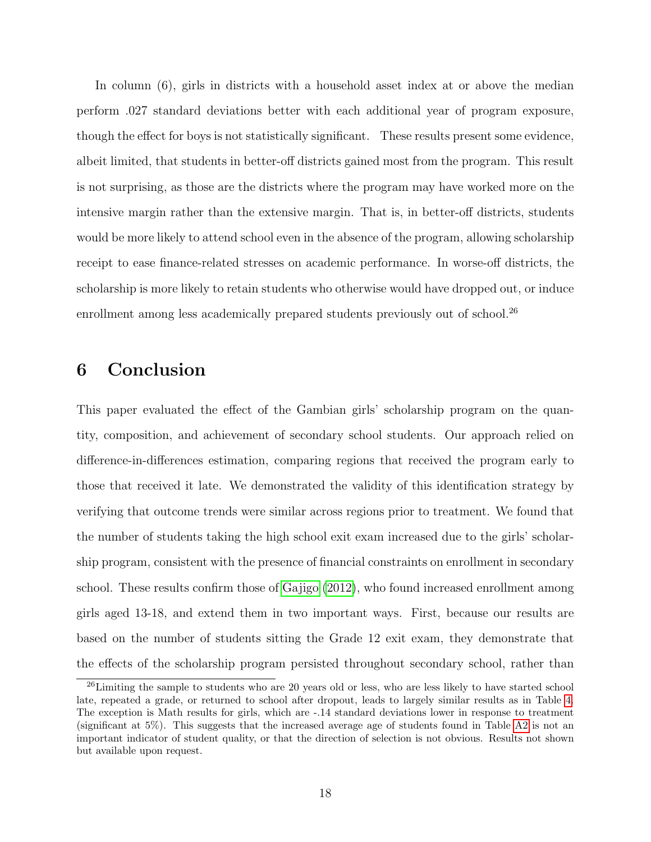In column (6), girls in districts with a household asset index at or above the median perform .027 standard deviations better with each additional year of program exposure, though the effect for boys is not statistically significant. These results present some evidence, albeit limited, that students in better-off districts gained most from the program. This result is not surprising, as those are the districts where the program may have worked more on the intensive margin rather than the extensive margin. That is, in better-off districts, students would be more likely to attend school even in the absence of the program, allowing scholarship receipt to ease finance-related stresses on academic performance. In worse-off districts, the scholarship is more likely to retain students who otherwise would have dropped out, or induce enrollment among less academically prepared students previously out of school.<sup>26</sup>

## 6 Conclusion

This paper evaluated the effect of the Gambian girls' scholarship program on the quantity, composition, and achievement of secondary school students. Our approach relied on difference-in-differences estimation, comparing regions that received the program early to those that received it late. We demonstrated the validity of this identification strategy by verifying that outcome trends were similar across regions prior to treatment. We found that the number of students taking the high school exit exam increased due to the girls' scholarship program, consistent with the presence of financial constraints on enrollment in secondary school. These results confirm those of [Gajigo](#page-20-2) [\(2012\)](#page-20-2), who found increased enrollment among girls aged 13-18, and extend them in two important ways. First, because our results are based on the number of students sitting the Grade 12 exit exam, they demonstrate that the effects of the scholarship program persisted throughout secondary school, rather than

<sup>&</sup>lt;sup>26</sup>Limiting the sample to students who are 20 years old or less, who are less likely to have started school late, repeated a grade, or returned to school after dropout, leads to largely similar results as in Table [4.](#page-26-0) The exception is Math results for girls, which are -.14 standard deviations lower in response to treatment (significant at 5%). This suggests that the increased average age of students found in Table [A2](#page-30-0) is not an important indicator of student quality, or that the direction of selection is not obvious. Results not shown but available upon request.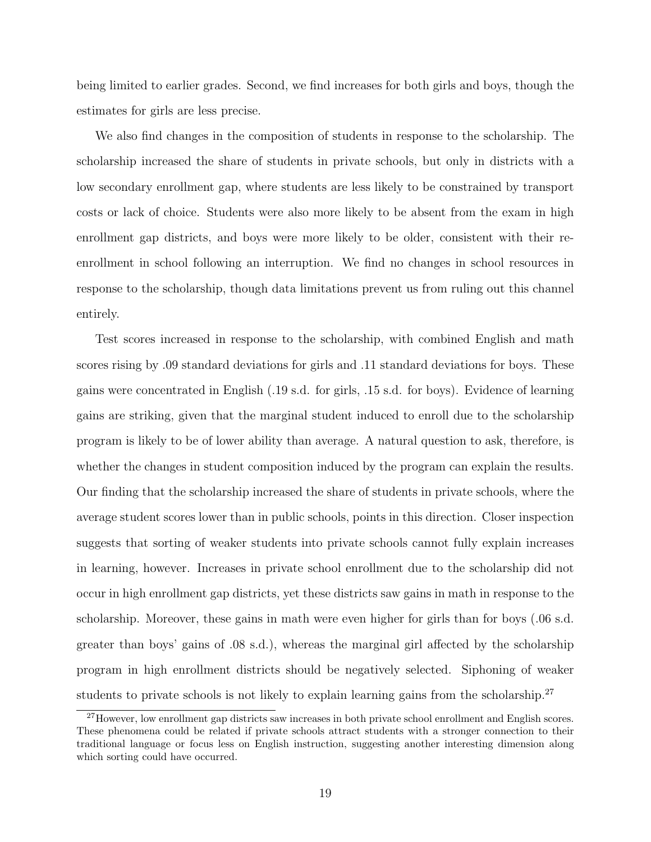being limited to earlier grades. Second, we find increases for both girls and boys, though the estimates for girls are less precise.

We also find changes in the composition of students in response to the scholarship. The scholarship increased the share of students in private schools, but only in districts with a low secondary enrollment gap, where students are less likely to be constrained by transport costs or lack of choice. Students were also more likely to be absent from the exam in high enrollment gap districts, and boys were more likely to be older, consistent with their reenrollment in school following an interruption. We find no changes in school resources in response to the scholarship, though data limitations prevent us from ruling out this channel entirely.

Test scores increased in response to the scholarship, with combined English and math scores rising by .09 standard deviations for girls and .11 standard deviations for boys. These gains were concentrated in English (.19 s.d. for girls, .15 s.d. for boys). Evidence of learning gains are striking, given that the marginal student induced to enroll due to the scholarship program is likely to be of lower ability than average. A natural question to ask, therefore, is whether the changes in student composition induced by the program can explain the results. Our finding that the scholarship increased the share of students in private schools, where the average student scores lower than in public schools, points in this direction. Closer inspection suggests that sorting of weaker students into private schools cannot fully explain increases in learning, however. Increases in private school enrollment due to the scholarship did not occur in high enrollment gap districts, yet these districts saw gains in math in response to the scholarship. Moreover, these gains in math were even higher for girls than for boys (.06 s.d. greater than boys' gains of .08 s.d.), whereas the marginal girl affected by the scholarship program in high enrollment districts should be negatively selected. Siphoning of weaker students to private schools is not likely to explain learning gains from the scholarship.<sup>27</sup>

<sup>27</sup>However, low enrollment gap districts saw increases in both private school enrollment and English scores. These phenomena could be related if private schools attract students with a stronger connection to their traditional language or focus less on English instruction, suggesting another interesting dimension along which sorting could have occurred.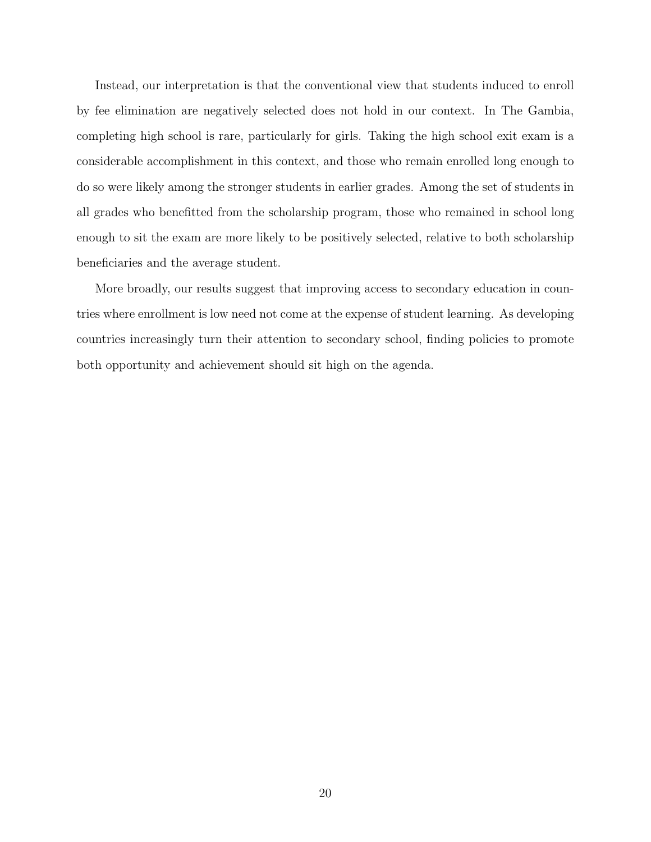Instead, our interpretation is that the conventional view that students induced to enroll by fee elimination are negatively selected does not hold in our context. In The Gambia, completing high school is rare, particularly for girls. Taking the high school exit exam is a considerable accomplishment in this context, and those who remain enrolled long enough to do so were likely among the stronger students in earlier grades. Among the set of students in all grades who benefitted from the scholarship program, those who remained in school long enough to sit the exam are more likely to be positively selected, relative to both scholarship beneficiaries and the average student.

More broadly, our results suggest that improving access to secondary education in countries where enrollment is low need not come at the expense of student learning. As developing countries increasingly turn their attention to secondary school, finding policies to promote both opportunity and achievement should sit high on the agenda.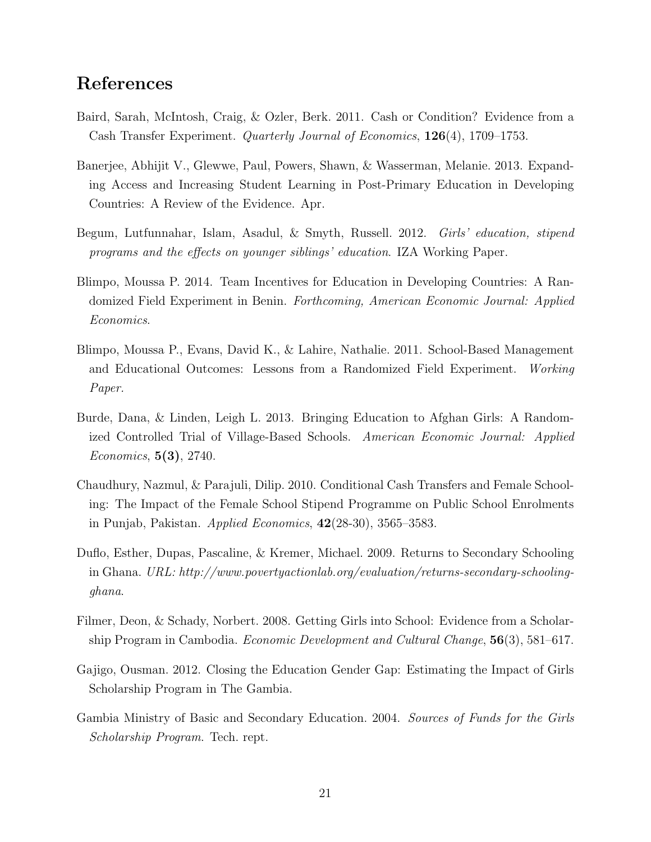## References

- <span id="page-20-8"></span>Baird, Sarah, McIntosh, Craig, & Ozler, Berk. 2011. Cash or Condition? Evidence from a Cash Transfer Experiment. Quarterly Journal of Economics, 126(4), 1709–1753.
- <span id="page-20-5"></span>Banerjee, Abhijit V., Glewwe, Paul, Powers, Shawn, & Wasserman, Melanie. 2013. Expanding Access and Increasing Student Learning in Post-Primary Education in Developing Countries: A Review of the Evidence. Apr.
- <span id="page-20-9"></span>Begum, Lutfunnahar, Islam, Asadul, & Smyth, Russell. 2012. *Girls' education, stipend* programs and the effects on younger siblings' education. IZA Working Paper.
- <span id="page-20-1"></span>Blimpo, Moussa P. 2014. Team Incentives for Education in Developing Countries: A Randomized Field Experiment in Benin. Forthcoming, American Economic Journal: Applied Economics.
- <span id="page-20-0"></span>Blimpo, Moussa P., Evans, David K., & Lahire, Nathalie. 2011. School-Based Management and Educational Outcomes: Lessons from a Randomized Field Experiment. Working Paper.
- <span id="page-20-3"></span>Burde, Dana, & Linden, Leigh L. 2013. Bringing Education to Afghan Girls: A Randomized Controlled Trial of Village-Based Schools. American Economic Journal: Applied Economics, 5(3), 2740.
- <span id="page-20-6"></span>Chaudhury, Nazmul, & Parajuli, Dilip. 2010. Conditional Cash Transfers and Female Schooling: The Impact of the Female School Stipend Programme on Public School Enrolments in Punjab, Pakistan. Applied Economics, 42(28-30), 3565–3583.
- <span id="page-20-4"></span>Duflo, Esther, Dupas, Pascaline, & Kremer, Michael. 2009. Returns to Secondary Schooling in Ghana. URL: http://www.povertyactionlab.org/evaluation/returns-secondary-schoolingghana.
- <span id="page-20-7"></span>Filmer, Deon, & Schady, Norbert. 2008. Getting Girls into School: Evidence from a Scholarship Program in Cambodia. Economic Development and Cultural Change, 56(3), 581–617.
- <span id="page-20-2"></span>Gajigo, Ousman. 2012. Closing the Education Gender Gap: Estimating the Impact of Girls Scholarship Program in The Gambia.
- <span id="page-20-10"></span>Gambia Ministry of Basic and Secondary Education. 2004. Sources of Funds for the Girls Scholarship Program. Tech. rept.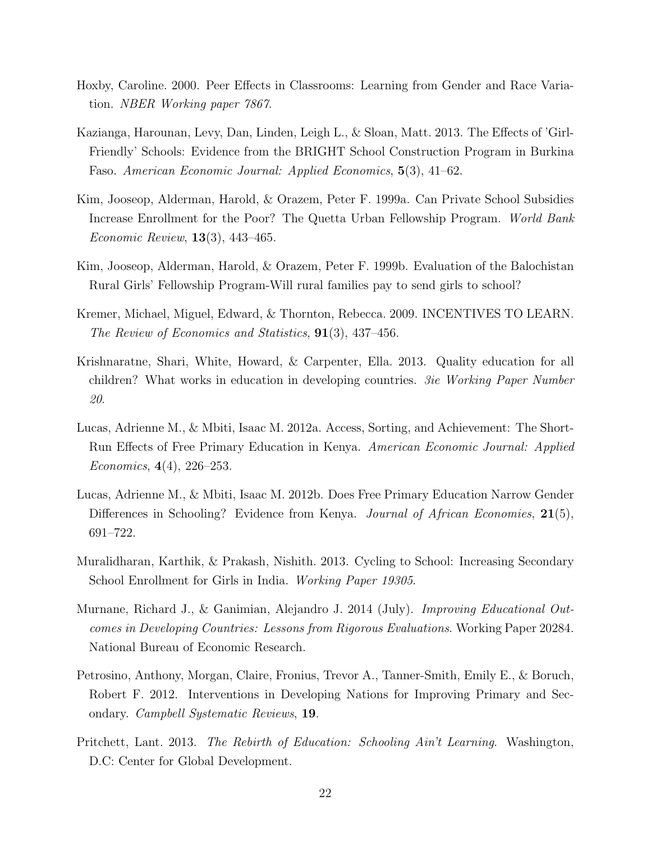- <span id="page-21-11"></span>Hoxby, Caroline. 2000. Peer Effects in Classrooms: Learning from Gender and Race Variation. NBER Working paper 7867.
- <span id="page-21-4"></span>Kazianga, Harounan, Levy, Dan, Linden, Leigh L., & Sloan, Matt. 2013. The Effects of 'Girl-Friendly' Schools: Evidence from the BRIGHT School Construction Program in Burkina Faso. American Economic Journal: Applied Economics, 5(3), 41–62.
- <span id="page-21-7"></span>Kim, Jooseop, Alderman, Harold, & Orazem, Peter F. 1999a. Can Private School Subsidies Increase Enrollment for the Poor? The Quetta Urban Fellowship Program. World Bank Economic Review, 13(3), 443–465.
- <span id="page-21-8"></span>Kim, Jooseop, Alderman, Harold, & Orazem, Peter F. 1999b. Evaluation of the Balochistan Rural Girls' Fellowship Program-Will rural families pay to send girls to school?
- <span id="page-21-9"></span>Kremer, Michael, Miguel, Edward, & Thornton, Rebecca. 2009. INCENTIVES TO LEARN. The Review of Economics and Statistics, 91(3), 437–456.
- <span id="page-21-1"></span>Krishnaratne, Shari, White, Howard, & Carpenter, Ella. 2013. Quality education for all children? What works in education in developing countries. 3ie Working Paper Number 20.
- <span id="page-21-5"></span>Lucas, Adrienne M., & Mbiti, Isaac M. 2012a. Access, Sorting, and Achievement: The Short-Run Effects of Free Primary Education in Kenya. American Economic Journal: Applied Economics, 4(4), 226–253.
- <span id="page-21-10"></span>Lucas, Adrienne M., & Mbiti, Isaac M. 2012b. Does Free Primary Education Narrow Gender Differences in Schooling? Evidence from Kenya. Journal of African Economies, 21(5), 691–722.
- <span id="page-21-6"></span>Muralidharan, Karthik, & Prakash, Nishith. 2013. Cycling to School: Increasing Secondary School Enrollment for Girls in India. *Working Paper 19305*.
- <span id="page-21-2"></span>Murnane, Richard J., & Ganimian, Alejandro J. 2014 (July). Improving Educational Outcomes in Developing Countries: Lessons from Rigorous Evaluations. Working Paper 20284. National Bureau of Economic Research.
- <span id="page-21-0"></span>Petrosino, Anthony, Morgan, Claire, Fronius, Trevor A., Tanner-Smith, Emily E., & Boruch, Robert F. 2012. Interventions in Developing Nations for Improving Primary and Secondary. Campbell Systematic Reviews, 19.
- <span id="page-21-3"></span>Pritchett, Lant. 2013. The Rebirth of Education: Schooling Ain't Learning. Washington, D.C: Center for Global Development.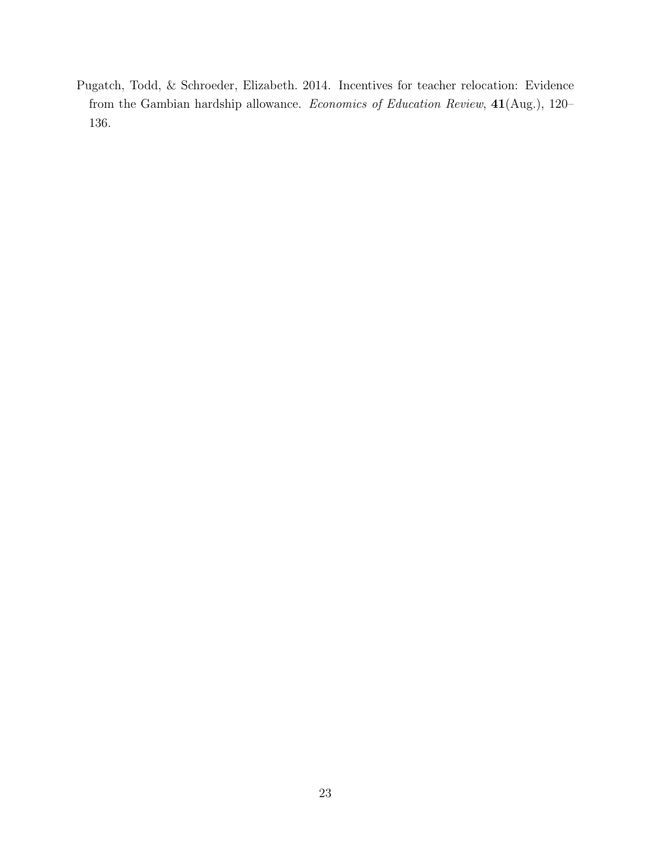<span id="page-22-0"></span>Pugatch, Todd, & Schroeder, Elizabeth. 2014. Incentives for teacher relocation: Evidence from the Gambian hardship allowance. Economics of Education Review, 41(Aug.), 120– 136.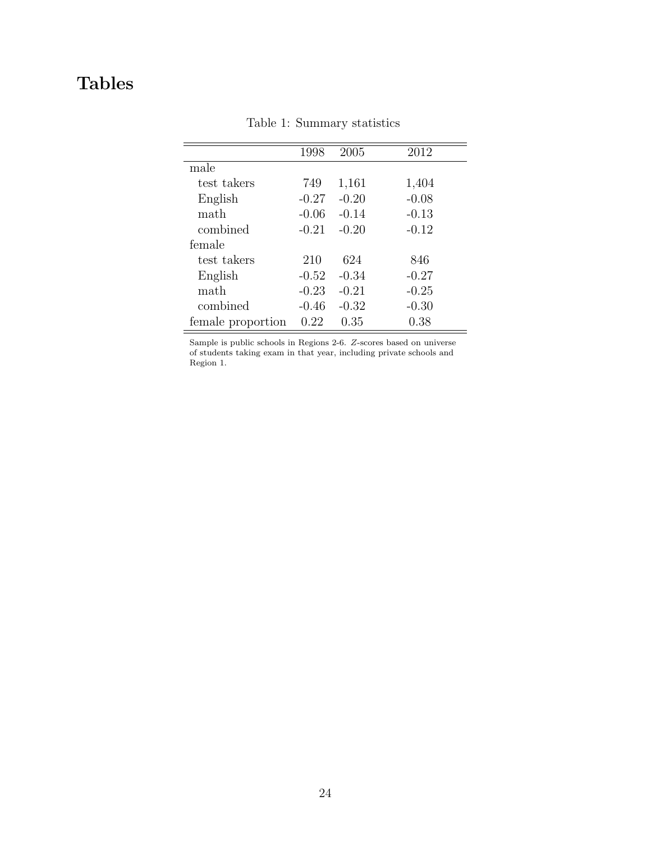## <span id="page-23-0"></span>Tables

|                   | 1998    | 2005    | 2012    |
|-------------------|---------|---------|---------|
| male              |         |         |         |
| test takers       | 749     | 1,161   | 1,404   |
| English           | $-0.27$ | $-0.20$ | $-0.08$ |
| math              | $-0.06$ | $-0.14$ | $-0.13$ |
| combined          | $-0.21$ | $-0.20$ | $-0.12$ |
| female            |         |         |         |
| test takers       | 210     | 624     | 846     |
| English           | $-0.52$ | $-0.34$ | $-0.27$ |
| math              | $-0.23$ | $-0.21$ | $-0.25$ |
| combined          | $-0.46$ | $-0.32$ | $-0.30$ |
| female proportion | 0.22    | 0.35    | 0.38    |
|                   |         |         |         |

Table 1: Summary statistics

Sample is public schools in Regions 2-6. Z-scores based on universe of students taking exam in that year, including private schools and Region 1.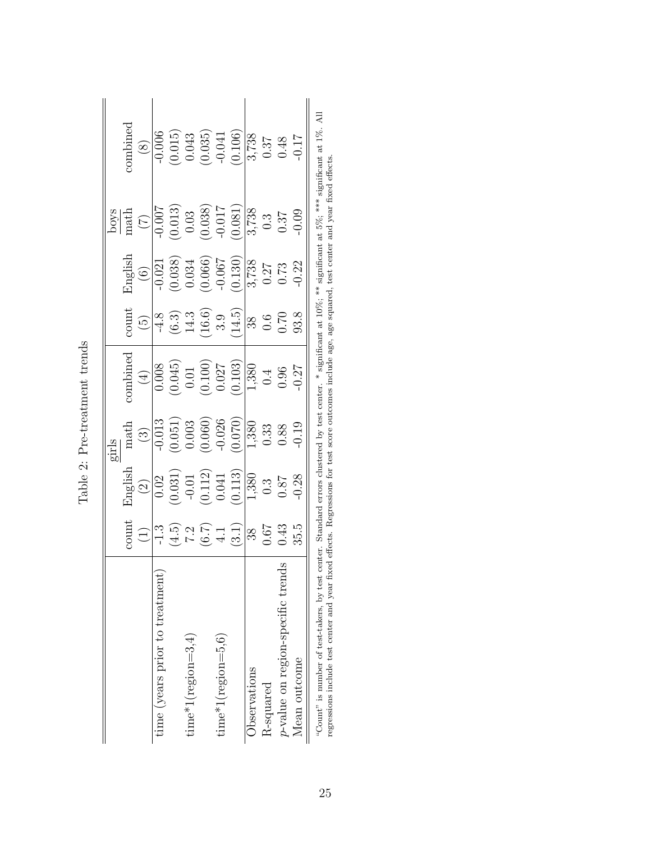<span id="page-24-0"></span>

|                                                                                                                                                                                                                                                                                                                                |                                      |                                                                                                                                 | girls                                                                                                 |                                                                                                                                                                                                                                                                                                                                    |                                                                                                                                                                                                                                                                                           |                                                                                                                     |                                                                                               |                                                                                                                                                                                                       |
|--------------------------------------------------------------------------------------------------------------------------------------------------------------------------------------------------------------------------------------------------------------------------------------------------------------------------------|--------------------------------------|---------------------------------------------------------------------------------------------------------------------------------|-------------------------------------------------------------------------------------------------------|------------------------------------------------------------------------------------------------------------------------------------------------------------------------------------------------------------------------------------------------------------------------------------------------------------------------------------|-------------------------------------------------------------------------------------------------------------------------------------------------------------------------------------------------------------------------------------------------------------------------------------------|---------------------------------------------------------------------------------------------------------------------|-----------------------------------------------------------------------------------------------|-------------------------------------------------------------------------------------------------------------------------------------------------------------------------------------------------------|
|                                                                                                                                                                                                                                                                                                                                | count                                | English                                                                                                                         | math                                                                                                  | combined                                                                                                                                                                                                                                                                                                                           | count                                                                                                                                                                                                                                                                                     | English                                                                                                             |                                                                                               | combined                                                                                                                                                                                              |
|                                                                                                                                                                                                                                                                                                                                | $\begin{pmatrix} 1 \end{pmatrix}$    | $\begin{array}{c} (2) \\ 0.02 \\ 0.031) \\ -0.01 \\ 0.112) \\ 0.041 \\ \underline{()0113)} \\ 0.380 \\ 0.3 \\ 0.87 \end{array}$ | $\begin{array}{r} (3) \\ \hline 0.013 \\ (0.051) \\ 0.003 \\ (0.060) \\ 0.026 \\ (0.020) \end{array}$ |                                                                                                                                                                                                                                                                                                                                    |                                                                                                                                                                                                                                                                                           | $\begin{pmatrix} 6 \end{pmatrix}$                                                                                   | $\frac{\frac{\text{loops}}{\text{math}}}{\frac{\text{right}}{(7)}}$                           |                                                                                                                                                                                                       |
| time (years prior to treatment)                                                                                                                                                                                                                                                                                                | $-1.3$                               |                                                                                                                                 |                                                                                                       |                                                                                                                                                                                                                                                                                                                                    |                                                                                                                                                                                                                                                                                           | $-0.021$                                                                                                            |                                                                                               |                                                                                                                                                                                                       |
|                                                                                                                                                                                                                                                                                                                                |                                      |                                                                                                                                 |                                                                                                       |                                                                                                                                                                                                                                                                                                                                    |                                                                                                                                                                                                                                                                                           |                                                                                                                     |                                                                                               |                                                                                                                                                                                                       |
| $time*1(region=3,4)$                                                                                                                                                                                                                                                                                                           |                                      |                                                                                                                                 |                                                                                                       |                                                                                                                                                                                                                                                                                                                                    |                                                                                                                                                                                                                                                                                           |                                                                                                                     |                                                                                               |                                                                                                                                                                                                       |
|                                                                                                                                                                                                                                                                                                                                |                                      |                                                                                                                                 |                                                                                                       |                                                                                                                                                                                                                                                                                                                                    |                                                                                                                                                                                                                                                                                           |                                                                                                                     |                                                                                               |                                                                                                                                                                                                       |
| $time*1(region=5,6)$                                                                                                                                                                                                                                                                                                           |                                      |                                                                                                                                 |                                                                                                       |                                                                                                                                                                                                                                                                                                                                    |                                                                                                                                                                                                                                                                                           |                                                                                                                     |                                                                                               |                                                                                                                                                                                                       |
|                                                                                                                                                                                                                                                                                                                                | $(4.5) \n7.2 \n(6.7) \n4.1) \n(3.1)$ |                                                                                                                                 |                                                                                                       | $\begin{array}{r} \begin{array}{c} (4) \\[-4pt] 0.008 \\[-4pt] 0.018 \\[-4pt] 0.01 \\[-4pt] 0.01 \\[-4pt] 0.027 \\[-4pt] 0.027 \\[-4pt] 0.027 \\[-4pt] 0.04 \\[-4pt] 0.04 \\[-4pt] 0.04 \\[-4pt] 0.04 \\[-4pt] 0.04 \\[-4pt] 0.04 \\[-4pt] 0.04 \\[-4pt] 0.04 \\[-4pt] 0.04 \\[-4pt] 0.04 \\[-4pt] 0.04 \\[-4pt] 0.04 \\[-4pt] 0.$ | $\frac{(5)}{4 \cdot 8}$<br>$\frac{(6 \cdot 3)}{1 \cdot 1 \cdot 6}$<br>$\frac{(6 \cdot 3)}{1 \cdot 1 \cdot 6}$<br>$\frac{(3 \cdot 3)}{1 \cdot 1 \cdot 1}$<br>$\frac{(3 \cdot 3)}{1 \cdot 1 \cdot 1}$<br>$\frac{(3 \cdot 3)}{1 \cdot 1 \cdot 1}$<br>$\frac{(3 \cdot 3)}{1 \cdot 1 \cdot 1}$ | $\begin{array}{c} (0.038) \\ 0.034 \\ 0.066) \\ (0.066) \\ 0.057 \\ (0.130) \\ 0.27 \\ 0.27 \\ 0.03 \\ \end{array}$ | $\begin{array}{c} (0.013) \\ 0.03 \\ 0.038 \\ -0.017 \\ \hline 0.081 \\ 0.081 \\ \end{array}$ | $\begin{array}{c} (8) \\[-4pt] 0.006 \\[-4pt] 0.015) \\[-4pt] 0.043 \\[-4pt] 0.035) \\[-4pt] 0.035) \\[-4pt] 0.037 \\[-4pt] 0.37 \\[-4pt] 0.37 \\[-4pt] 0.48 \\[-4pt] 0.48 \\[-4pt] 0.49 \end{array}$ |
| Observations                                                                                                                                                                                                                                                                                                                   | $ \%$                                |                                                                                                                                 |                                                                                                       |                                                                                                                                                                                                                                                                                                                                    |                                                                                                                                                                                                                                                                                           |                                                                                                                     |                                                                                               |                                                                                                                                                                                                       |
| R-squared                                                                                                                                                                                                                                                                                                                      | $0.67$<br>$0.43$                     |                                                                                                                                 |                                                                                                       |                                                                                                                                                                                                                                                                                                                                    |                                                                                                                                                                                                                                                                                           |                                                                                                                     |                                                                                               |                                                                                                                                                                                                       |
| $\tilde{\mathbf{c}}$<br>$p$ -value on region-specific trend                                                                                                                                                                                                                                                                    |                                      |                                                                                                                                 | $\frac{1,380}{0.33}$<br>0.33                                                                          |                                                                                                                                                                                                                                                                                                                                    |                                                                                                                                                                                                                                                                                           |                                                                                                                     |                                                                                               |                                                                                                                                                                                                       |
| Mean outcome                                                                                                                                                                                                                                                                                                                   | 35.5                                 | 0.28                                                                                                                            | 0.19                                                                                                  |                                                                                                                                                                                                                                                                                                                                    |                                                                                                                                                                                                                                                                                           | $-0.22$                                                                                                             | 0.09                                                                                          |                                                                                                                                                                                                       |
| "Count" is number of test-takers, by test center. Standard errors clustered by test center. * significant at 10%; ** significant at 5%; *** significant at 1%. All<br>regressions include test center and year fixed effects. Regressions for test score outcomes include age, age squared, test center and year fixed effects |                                      |                                                                                                                                 |                                                                                                       |                                                                                                                                                                                                                                                                                                                                    |                                                                                                                                                                                                                                                                                           |                                                                                                                     |                                                                                               |                                                                                                                                                                                                       |

| てくらく インキー<br>j      |  |
|---------------------|--|
| $+ m$ nn $+ m$<br>í |  |
|                     |  |
|                     |  |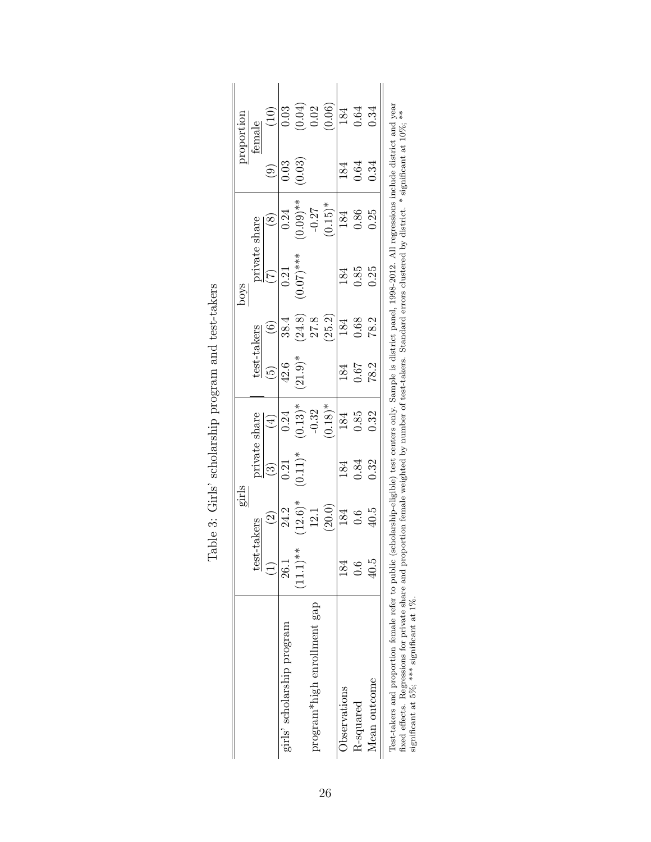|                                                                                                                                                                                                                                                                                     |                | girls              |            |                            |                          |        | s<br>foo                                                                                                                 |                          |        | proportion                                            |
|-------------------------------------------------------------------------------------------------------------------------------------------------------------------------------------------------------------------------------------------------------------------------------------|----------------|--------------------|------------|----------------------------|--------------------------|--------|--------------------------------------------------------------------------------------------------------------------------|--------------------------|--------|-------------------------------------------------------|
|                                                                                                                                                                                                                                                                                     | test           | -takers            |            | private share              | test-takers              |        | private share                                                                                                            |                          |        | female                                                |
|                                                                                                                                                                                                                                                                                     | $\overline{1}$ | $\widehat{\Omega}$ | $\odot$    | $\left(\frac{1}{2}\right)$ | $\widehat{\mathfrak{g}}$ |        |                                                                                                                          | $\overset{\sim}{\infty}$ | ම      | (10)                                                  |
| girls' scholarship program                                                                                                                                                                                                                                                          | 26.1           | 24.2               | 0.21       | 0.24                       | 42.6                     | 38.4   | 0.21                                                                                                                     | 0.24                     | 0.03   | 0.03                                                  |
|                                                                                                                                                                                                                                                                                     | $(11.1)**$     | $(12.6)*$          | $(0.11)^*$ | $(0.13)^*$                 | $(21.9)$ <sup>*</sup>    | (24.8) | $(0.07)$ ***                                                                                                             | $(0.09)$ **              | (0.03) | $\begin{array}{c} (0.04) \\ 0.02 \\ 0.06 \end{array}$ |
| program*high enrollment gap                                                                                                                                                                                                                                                         |                |                    |            | $-0.32$                    |                          | 27.8   |                                                                                                                          | $-0.27$                  |        |                                                       |
|                                                                                                                                                                                                                                                                                     |                | (20.0)             |            | $(0.18)$ <sup>*</sup>      |                          | (25.2) |                                                                                                                          | $(0.15)^*$               |        |                                                       |
| Observations                                                                                                                                                                                                                                                                        | 184            | 184                | 184        | 184                        | 184                      | 184    | 184                                                                                                                      | 184                      | 184    | 184                                                   |
| R-squared                                                                                                                                                                                                                                                                           | 0.6            | 0.6                | 0.84       | 0.85                       | 0.67                     | 0.68   | 0.85                                                                                                                     | 0.86                     | 0.64   | 0.64                                                  |
| Mean outcome                                                                                                                                                                                                                                                                        | 40.5           | 40.5               | 0.32       | 0.32                       | 78.2                     | 78.2   | 0.25                                                                                                                     | 0.25                     | 0.34   | 0.34                                                  |
| fund affects a formation from entirely and procedure from all substituted by minimal fact to local conditional concerns of the state of the state of the state of the state of the state of the state of the state of the stat<br>Test-takers and proportion female refer to public |                |                    |            |                            |                          |        | (scholarship-eligible) test centers only. Sample is district panel, 1998-2012. All regressions include district and year |                          |        |                                                       |

<span id="page-25-0"></span>

| ļ<br>ļ<br>į<br>ı<br>. לא האירות האירות האירות האירו<br>į<br>l<br>ו<br>נו |
|--------------------------------------------------------------------------|
| I<br>l<br>ı<br>)<br> }<br> }<br>l<br>ē<br>Í<br>2<br>į                    |
| 5<br>ť<br>ı<br>$\overline{\mathbf{S}}$<br>ļ<br>I                         |

fixed effects. Regressions for private share and proportion female weighted by number of test-takers. Standard errors clustered by district. \* significant at 10%; \*\* fixed effects. Regressions for private share and proportion female weighted by number of test-takers. Standard errors clustered by district. \* significant at 10%;<br>significant at 5%; \*\*\* significant at 1%. significant at 5%; \*\*\* significant at 1%.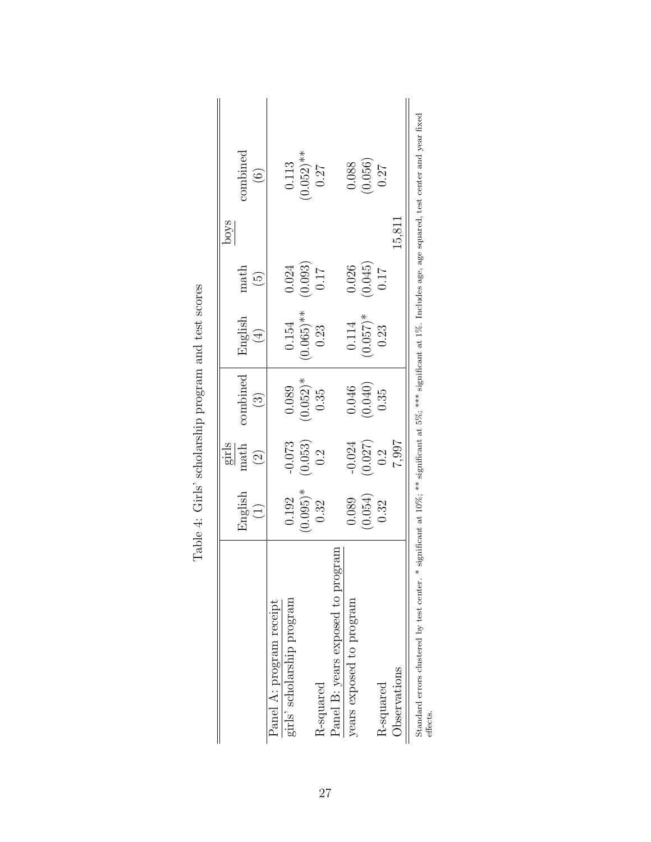|                                   |                  | girls           |                              |                              |                      | poys                        |
|-----------------------------------|------------------|-----------------|------------------------------|------------------------------|----------------------|-----------------------------|
|                                   | English          | math            | combined                     | English                      | math                 | combined                    |
|                                   | $\left(1\right)$ | $\odot$         | $\left( \frac{3}{2} \right)$ | $\left( \frac{1}{2} \right)$ | $\widetilde{\Theta}$ | $\widehat{6}$               |
| Panel A: program receipt          |                  |                 |                              |                              |                      |                             |
| girls' scholarship program        | 0.192            | $-0.073$        | 0.089                        | 0.154                        | 0.024                | 0.113                       |
|                                   | $(0.095)$ *      | (0.053)         | $(0.052)*$                   | $(0.065)$ **                 | (0.093)              | $(0.052)**$                 |
| R-squared                         | 0.32             | 0.2             | 0.35                         | 0.23                         | <b>117</b>           | 0.27                        |
| Panel B: years exposed to program |                  |                 |                              |                              |                      |                             |
| years exposed to program          | 0.089            | $-0.024$        | 0.046                        | 0.114                        | 0.026                | 0.088                       |
|                                   | (0.054)          | $(0.027)$ $0.2$ | (0.040)                      | $(0.057)$ *                  | (0.045)              | $\left(0.056\right)$ $0.27$ |
| R-squared                         | 0.32             |                 | 0.35                         | 0.23                         | 0.17                 |                             |
| Observations                      |                  | 7.997           |                              |                              |                      | 15,811                      |

<span id="page-26-0"></span>

| i Co<br>$\frac{4}{5}$<br>į<br>$\frac{1}{2}$                                                                                        |  |
|------------------------------------------------------------------------------------------------------------------------------------|--|
| י לא האירות האירות האירות האירות האירות האירות האירות האירות האירות האירות האירות האירות האירות האירות האירות<br>i<br>ו<br>גו<br>ı |  |
| l<br>ı<br>ו<br>ו                                                                                                                   |  |
| ļ                                                                                                                                  |  |
| 1                                                                                                                                  |  |

27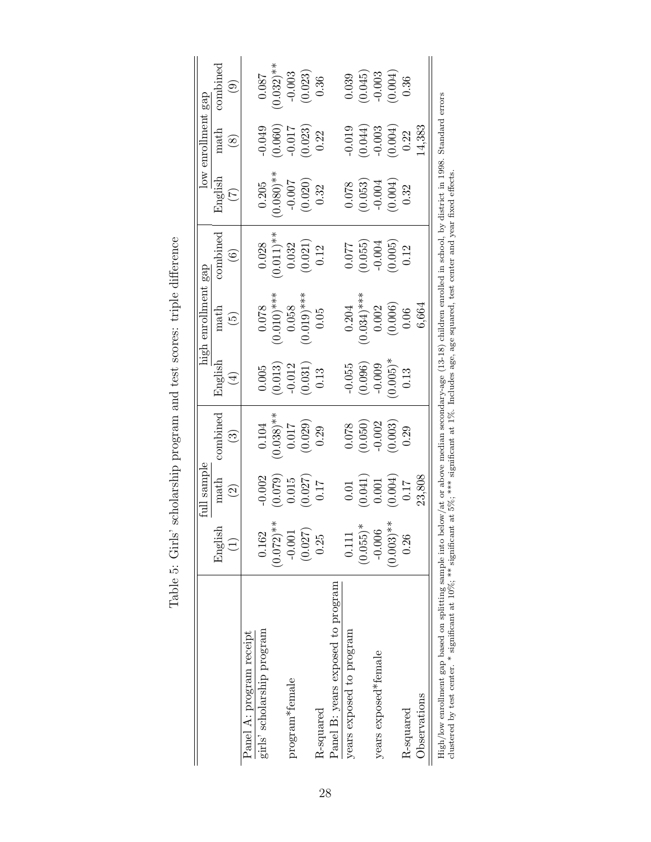|                                   |                | full sample                                                                  |                                                                              |                                                                             | high enrollment gap                                              |                                                                                             |                                                                                   | low enrollment gap                                                               |                                                                    |
|-----------------------------------|----------------|------------------------------------------------------------------------------|------------------------------------------------------------------------------|-----------------------------------------------------------------------------|------------------------------------------------------------------|---------------------------------------------------------------------------------------------|-----------------------------------------------------------------------------------|----------------------------------------------------------------------------------|--------------------------------------------------------------------|
|                                   | English        | math                                                                         | combined                                                                     |                                                                             |                                                                  | combined                                                                                    |                                                                                   | $\operatorname{match}$                                                           | combined                                                           |
|                                   | $\overline{1}$ | $\widetilde{\mathcal{C}}$                                                    | $\binom{3}{2}$                                                               | English $\frac{1}{4}$                                                       | $ext{math}_{(5)}$                                                | $(6)$                                                                                       | English $(7)$                                                                     | $\circled{s}$                                                                    | $\begin{pmatrix} 0 \\ 0 \end{pmatrix}$                             |
| Panel A: program receipt          |                |                                                                              |                                                                              |                                                                             |                                                                  |                                                                                             |                                                                                   |                                                                                  |                                                                    |
| girls' scholarship program        | 0.162          |                                                                              | 0.104                                                                        |                                                                             |                                                                  |                                                                                             |                                                                                   | $-0.049$                                                                         | 180.0                                                              |
|                                   | $(0.072)**$    | $\begin{array}{c} -0.002 \\ 0.079) \\ 0.015 \\ 0.027) \\ 0.027) \end{array}$ | $(0.038)$ <sup>**</sup><br>0.017<br>(0.029)<br>(0.29                         | $\begin{array}{c} 0.005 \\ (0.013) \\ -0.012 \\ 0.031) \\ 0.13 \end{array}$ | $(0.010)$ ***<br>$(0.010)$ ***<br>0.058<br>$(0.019)$ ***<br>0.05 | $\begin{array}{c} 0.028 \\ (0.011)^{**} \\ 0.032 \\ (0.021) \\ (0.021) \\ 0.12 \end{array}$ | $\begin{array}{c} 0.205 \\ (0.080)^{**} \\ -0.007 \\ (0.020) \\ 0.32 \end{array}$ | $(0.060)$<br>$-0.017$<br>$(0.023)$<br>$0.22$                                     | $(0.032)$ <sup>**</sup><br>-0.003<br>(0.023)<br>(0.36              |
| program*female                    | $-0.001$       |                                                                              |                                                                              |                                                                             |                                                                  |                                                                                             |                                                                                   |                                                                                  |                                                                    |
|                                   | (0.027)        |                                                                              |                                                                              |                                                                             |                                                                  |                                                                                             |                                                                                   |                                                                                  |                                                                    |
| R-squared                         | 0.25           |                                                                              |                                                                              |                                                                             |                                                                  |                                                                                             |                                                                                   |                                                                                  |                                                                    |
| Panel B: years exposed to program |                |                                                                              |                                                                              |                                                                             |                                                                  |                                                                                             |                                                                                   |                                                                                  |                                                                    |
| years exposed to program          | 0.111          |                                                                              |                                                                              |                                                                             |                                                                  |                                                                                             |                                                                                   |                                                                                  |                                                                    |
|                                   | $(0.055)^*$    |                                                                              |                                                                              |                                                                             |                                                                  |                                                                                             |                                                                                   |                                                                                  | $\begin{array}{c} (0.039 \ (0.045) \ -0.003 \ (0.004) \end{array}$ |
| years exposed*female              | $-0.006$       |                                                                              |                                                                              |                                                                             |                                                                  |                                                                                             |                                                                                   |                                                                                  |                                                                    |
|                                   | $(0.003)$ **   | $\begin{array}{c} 0.01 \\ 0.041) \\ 0.001 \\ 0.004) \\ 0.17 \end{array}$     | $\begin{array}{c} 0.078 \\ (0.050) \\ -0.002 \\ (0.003) \\ 0.29 \end{array}$ | $-0.055$<br>(0.096)<br>(0.005)*<br>(0.005)*<br>0.13                         | $0.204$<br>$0.034)***$<br>$0.002$<br>$0.006)$<br>$(0.006)$       | $\begin{array}{c} 0.077 \ 0.055) \ -0.004 \ 0.005) \ 0.12 \end{array}$                      | $\begin{array}{c} 0.078 \\ 0.053) \\ -0.004 \\ 0.004) \\ 0.32 \end{array}$        | $\begin{array}{c} -0.019 \\ (0.044) \\ -0.003 \\ (0.004) \\ (0.004) \end{array}$ |                                                                    |
| R-squared                         | 0.26           |                                                                              |                                                                              |                                                                             |                                                                  |                                                                                             |                                                                                   |                                                                                  | 0.36                                                               |
| Observations                      |                | 23,808                                                                       |                                                                              |                                                                             | 6,664                                                            |                                                                                             |                                                                                   | 14,383                                                                           |                                                                    |
|                                   |                |                                                                              |                                                                              |                                                                             |                                                                  |                                                                                             |                                                                                   |                                                                                  |                                                                    |

<span id="page-27-0"></span>Table 5: Girls' scholarship program and test scores: triple difference Table 5: Girls' scholarship program and test scores: triple difference High/low enrollment gap based on splitting sample into below/at or above median secondary-age (13-18) children enrolled in school, by district in 1998. Standard errors clustered by test center. \* significant at  $10\%$ ; \*\* High/low enrollment gap based on splitting sample into below/at or above median secondary-age (13-18) children enrolled in school, by district in 1998. Standard errors clustered by test center. \* significant at 10%; \*\* significant at 5%; \*\*\* significant at 1%. Includes age, age squared, test center and year fixed effects.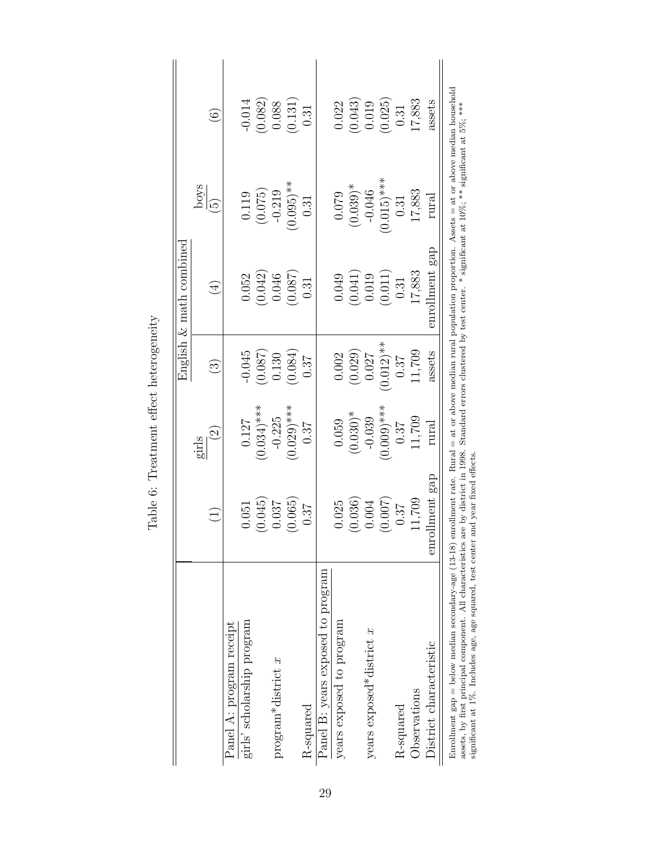|                                                                                                                                                                                                                                                                                                                                                                                                                                        |                   |                       |                        | English $\&$ math combined |                 |                   |
|----------------------------------------------------------------------------------------------------------------------------------------------------------------------------------------------------------------------------------------------------------------------------------------------------------------------------------------------------------------------------------------------------------------------------------------|-------------------|-----------------------|------------------------|----------------------------|-----------------|-------------------|
|                                                                                                                                                                                                                                                                                                                                                                                                                                        |                   | girls                 |                        |                            | poys            |                   |
|                                                                                                                                                                                                                                                                                                                                                                                                                                        | $\widetilde{\Xi}$ | $\widetilde{\varrho}$ | $\widehat{\mathbb{C}}$ | $(\pm)$                    | $\widetilde{5}$ | $\widehat{\odot}$ |
| Panel A: program receipt                                                                                                                                                                                                                                                                                                                                                                                                               |                   |                       |                        |                            |                 |                   |
| girls' scholarship program                                                                                                                                                                                                                                                                                                                                                                                                             | 0.051             | 0.127                 | $-0.045$               | 0.052                      | 0.119           | $-0.014$          |
|                                                                                                                                                                                                                                                                                                                                                                                                                                        | (0.045)           | $(0.034)$ ***         | (780.0)                | (0.042)                    | (0.075)         | (0.082)           |
| $\ensuremath{\text{program}}\xspace^* \text{distinct}$ $x$                                                                                                                                                                                                                                                                                                                                                                             | 0.037             | $-0.225$              | 0.130                  | 0.046                      | $-0.219$        | 0.088             |
|                                                                                                                                                                                                                                                                                                                                                                                                                                        | (0.065)           | $(0.029)$ ***         | (0.084)                | (780.0)                    | $(0.095)$ **    | (0.131)           |
| R-squared                                                                                                                                                                                                                                                                                                                                                                                                                              | 0.37              | 0.37                  | 0.87                   | 0.31                       | 0.31            | 0.31              |
| Panel B: years exposed to program                                                                                                                                                                                                                                                                                                                                                                                                      |                   |                       |                        |                            |                 |                   |
| years exposed to program                                                                                                                                                                                                                                                                                                                                                                                                               | 0.025             | 0.059                 | 0.002                  | 0.049                      | 0.079           | 0.022             |
|                                                                                                                                                                                                                                                                                                                                                                                                                                        | (0.036)           | $(0.030)*$            | (0.029)                | (0.041)                    | $(0.039)*$      | (0.043)           |
| years exposed*district $x$                                                                                                                                                                                                                                                                                                                                                                                                             | 0.004             | $-0.039$              | 0.027                  | 0.019                      | $-0.046$        | 0.019             |
|                                                                                                                                                                                                                                                                                                                                                                                                                                        | (0.007)           | $(0.009)$ ***         | $(0.012)$ **           | (0.011)                    | $(0.015)$ ***   | (0.025)           |
| R-squared                                                                                                                                                                                                                                                                                                                                                                                                                              | 0.37              | 0.37                  | 0.37                   | 0.31                       | 0.31            | 0.31              |
| Observations                                                                                                                                                                                                                                                                                                                                                                                                                           | 11,709            | 11,709                | 11,709                 | 17,883                     | 17,883          | 17,883            |
| District characteristic                                                                                                                                                                                                                                                                                                                                                                                                                | enrollment gap    | rura.                 | assets                 | enrollment gap             | rural           | assets            |
| Enrollment gap = below median secondary-age (13-18) enrollment rate. Rural = at or above median rural population proportion. Assets = at or above median household<br>assets, by first principal component. All characteristics are by district in 1998. Standard errors clustered by test center. * significant at 10%, ** significant at 5%, ***<br>significant at 1%. Includes age, age squared, test center and year fixed effects |                   |                       |                        |                            |                 |                   |

<span id="page-28-0"></span>Table 6: Treatment effect heterogeneity Table 6: Treatment effect heterogeneity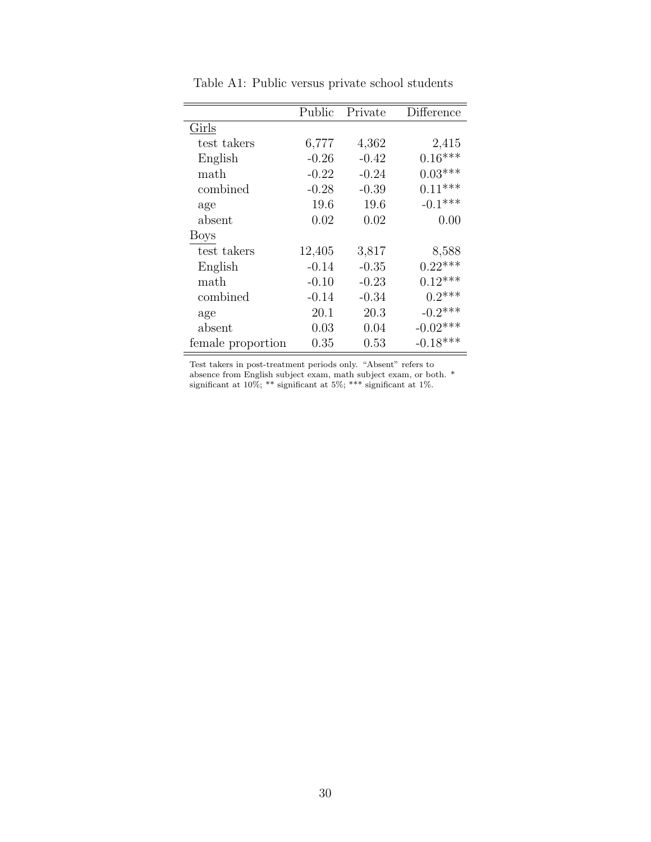<span id="page-29-0"></span>

|                   | Public  | Private | Difference |
|-------------------|---------|---------|------------|
| Girls             |         |         |            |
| test takers       | 6,777   | 4,362   | 2,415      |
| English           | $-0.26$ | $-0.42$ | $0.16***$  |
| math              | $-0.22$ | $-0.24$ | $0.03***$  |
| combined          | $-0.28$ | $-0.39$ | $0.11***$  |
| age               | 19.6    | 19.6    | $-0.1***$  |
| absent            | 0.02    | 0.02    | 0.00       |
| <b>Boys</b>       |         |         |            |
| test takers       | 12,405  | 3,817   | 8,588      |
| English           | $-0.14$ | $-0.35$ | $0.22***$  |
| math              | $-0.10$ | $-0.23$ | $0.12***$  |
| combined          | $-0.14$ | $-0.34$ | $0.2***$   |
| age               | 20.1    | 20.3    | $-0.2$ *** |
| absent            | 0.03    | 0.04    | $-0.02***$ |
| female proportion | 0.35    | 0.53    | $-0.18***$ |

Table A1: Public versus private school students

Test takers in post-treatment periods only. "Absent" refers to absence from English subject exam, math subject exam, or both. \* significant at 10%; \*\* significant at 5%; \*\*\* significant at 1%.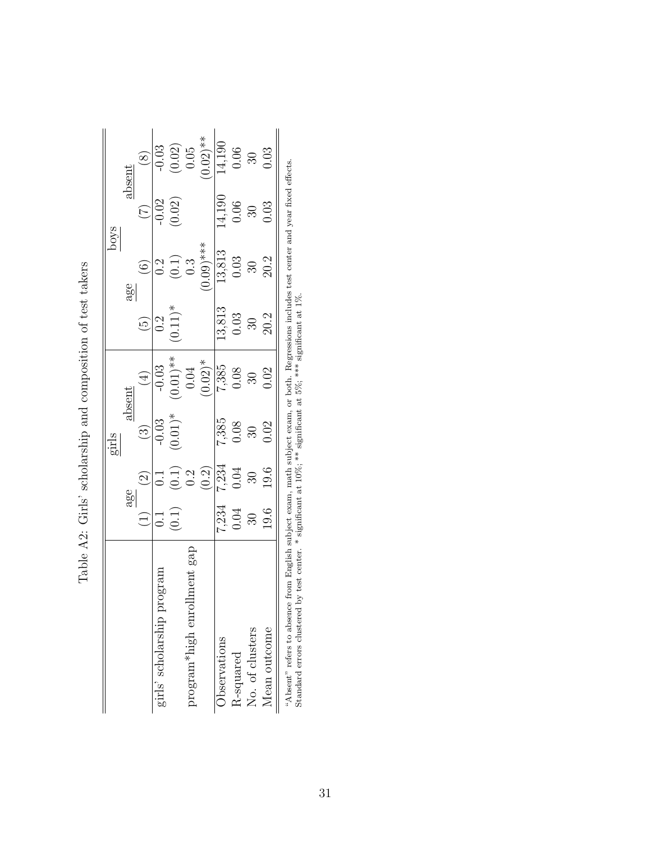|                                                                           |                                                            |                                                                                        | girls                                                      |                                                                                                                                      |                                                             |                                                                 | poys                                                        |                                                                                                                          |
|---------------------------------------------------------------------------|------------------------------------------------------------|----------------------------------------------------------------------------------------|------------------------------------------------------------|--------------------------------------------------------------------------------------------------------------------------------------|-------------------------------------------------------------|-----------------------------------------------------------------|-------------------------------------------------------------|--------------------------------------------------------------------------------------------------------------------------|
|                                                                           |                                                            | age                                                                                    |                                                            | $_{\rm absent}$                                                                                                                      |                                                             | age                                                             |                                                             | $_{\rm absent}$                                                                                                          |
|                                                                           |                                                            | $\widehat{S}$                                                                          | $\odot$                                                    |                                                                                                                                      | $\widetilde{\Theta}$                                        | $\odot$                                                         | $\widehat{C}$                                               | $\circledS$                                                                                                              |
| girls' scholarship program                                                | $\overline{0}$ :                                           |                                                                                        |                                                            |                                                                                                                                      | 0.2                                                         |                                                                 |                                                             |                                                                                                                          |
|                                                                           | (0.1)                                                      | 0.1<br>$(0.1)$<br>$0.2$<br>$(0.2)$<br>$(0.3)$<br>$(0.3)$<br>$0.03$<br>$0.05$<br>$0.05$ | $-0.03$<br>(0.01)*                                         | (4)<br>$(0.01)^{**}$<br>$(0.01)^{*}$<br>$(0.02)^{*}$<br>$(0.02)^{*}$<br>$(0.02)^{*}$<br>$(0.03)^{*}$<br>$(0.03)^{*}$<br>$(0.03)^{*}$ | $(0.11)^*$                                                  | 0.2<br>(0.1)<br>0.3<br>0.69 ***<br>13,813<br>0.03<br>30<br>20.2 | $\frac{1}{(0.02)}$                                          | $\begin{array}{r} -0.03 \\ (0.02) \\ (0.05) \\ 0.01 \\ (0.02) \ast \ast \\ (0.01) \\ 14,190 \\ 0.06 \\ 0.03 \end{array}$ |
| gap<br>program*high enrollment                                            |                                                            |                                                                                        |                                                            |                                                                                                                                      |                                                             |                                                                 |                                                             |                                                                                                                          |
|                                                                           |                                                            |                                                                                        |                                                            |                                                                                                                                      |                                                             |                                                                 |                                                             |                                                                                                                          |
| Observations                                                              |                                                            |                                                                                        |                                                            |                                                                                                                                      |                                                             |                                                                 |                                                             |                                                                                                                          |
| R-squared                                                                 | $\begin{array}{c} 7.234 \\ 0.04 \\ 30 \\ 19.6 \end{array}$ |                                                                                        | $\begin{array}{c} 7,385 \\ 0.08 \\ 30 \\ 0.02 \end{array}$ |                                                                                                                                      | $\begin{array}{c} 13,813 \\ 0.03 \\ 30 \\ 20.2 \end{array}$ |                                                                 | $\begin{array}{c} 14,190 \\ 0.06 \\ 30 \\ 0.03 \end{array}$ |                                                                                                                          |
| No. of clusters                                                           |                                                            |                                                                                        |                                                            |                                                                                                                                      |                                                             |                                                                 |                                                             |                                                                                                                          |
| Mean outcome                                                              |                                                            |                                                                                        |                                                            |                                                                                                                                      |                                                             |                                                                 |                                                             |                                                                                                                          |
| $\alpha \wedge \beta$ and $\alpha \wedge \beta$ and $\alpha \wedge \beta$ |                                                            |                                                                                        |                                                            |                                                                                                                                      |                                                             |                                                                 |                                                             |                                                                                                                          |

<span id="page-30-0"></span>Table A2: Girls' scholarship and composition of test takers Table A2: Girls' scholarship and composition of test takers

"Absent" refers to absence from English subject exam, math subject exam, or both. Regressions includes test center and year fixed effects.<br>Standard errors clustered by test center. \* significant at 10%; \*\* significant at "Absent" refers to absence from English subject exam, math subject exam, or both. Regressions includes test center and year fixed effects. Standard errors clustered by test center. \* significant at 10%; \*\* significant at 5%; \*\*\* significant at 1%.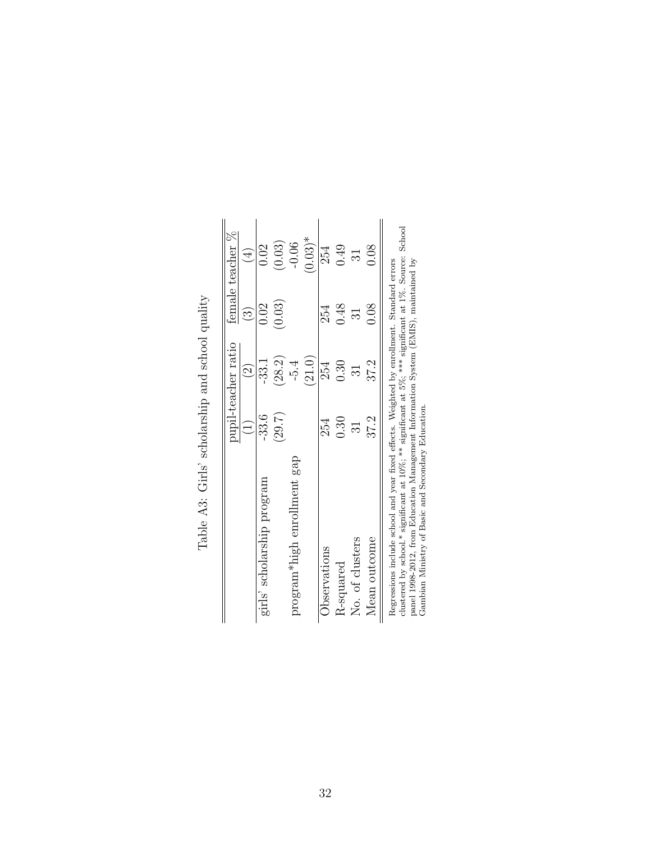|                                                                                                                                                                                                         |           | oupil-teacher ratio |                        | female teacher % |
|---------------------------------------------------------------------------------------------------------------------------------------------------------------------------------------------------------|-----------|---------------------|------------------------|------------------|
|                                                                                                                                                                                                         | $\hat{=}$ | $\widehat{\Omega}$  | $\widehat{\mathbb{C}}$ | $\widehat{\pm}$  |
| girls' scholarship program                                                                                                                                                                              | $-33.6$   | $-33.1$             | 0.02                   | 0.02             |
|                                                                                                                                                                                                         | (29.7)    | (28.2)              | (0.03)                 | (0.03)           |
| program*high enrollment gap                                                                                                                                                                             |           | $-5.4$              |                        | $-0.06$          |
|                                                                                                                                                                                                         |           | (21.0)              |                        | $(0.03)*$        |
| Observations                                                                                                                                                                                            | 254       | 254                 | 254                    | 254              |
| <b>R-squared</b>                                                                                                                                                                                        | 0.30      | 0.30                | 0.48                   | 0.49             |
| No. of clusters                                                                                                                                                                                         | ವ         | 31                  | 31                     | $\overline{31}$  |
| Mean outcome                                                                                                                                                                                            | 37.2      | 37.2                | 0.08                   | 0.08             |
| clustered by school.* significant at $10\%$ : ** significant at 5%: *** significant at 1%. Source: School<br>Regressions include school and year fixed effects. Weighted by enrollment. Standard errors |           |                     |                        |                  |

<span id="page-31-0"></span>Table A3: Girls' scholarship and school quality Table A3: Girls' scholarship and school quality

clustered by school.\* significant at 10%; \*\* significant at 5%; \*\*\* significant at 1%. Source: School cuistered by schooi." signineant at 10%; "" signineant at 5%; """ signineant at 1%. Source:<br>panel 1998-2012, from Education Management Information System (EMIS), maintained by<br>Gambian Ministry of Basic and Secondary Educat panel 1998-2012, from Education Management Information System (EMIS), maintained by Gambian Ministry of Basic and Secondary Education.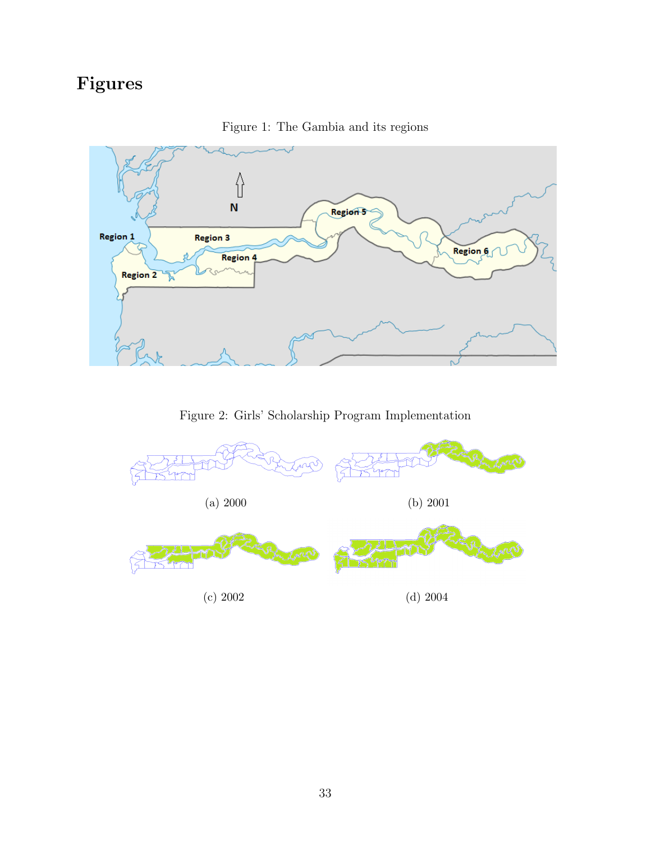# Figures

<span id="page-32-0"></span>

Figure 1: The Gambia and its regions

Figure 2: Girls' Scholarship Program Implementation

<span id="page-32-1"></span>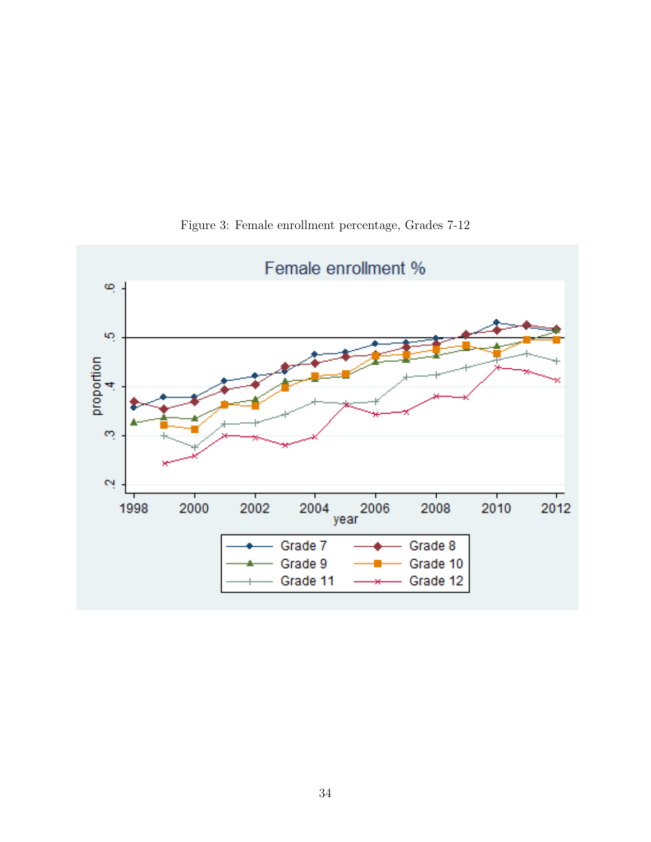<span id="page-33-0"></span>

Figure 3: Female enrollment percentage, Grades 7-12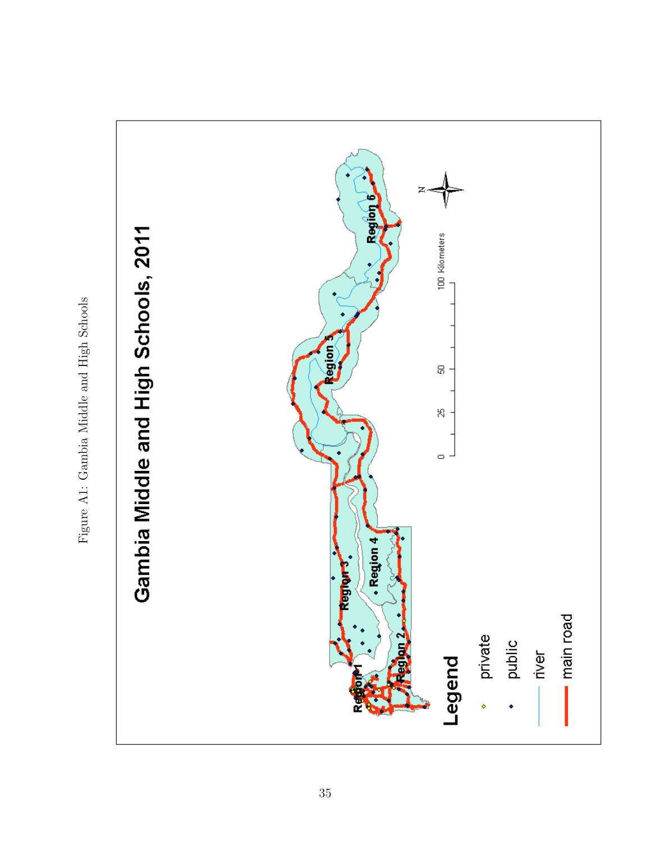

<span id="page-34-0"></span>Figure A1: Gambia Middle and High Schools Figure A1: Gambia Middle and High Schools